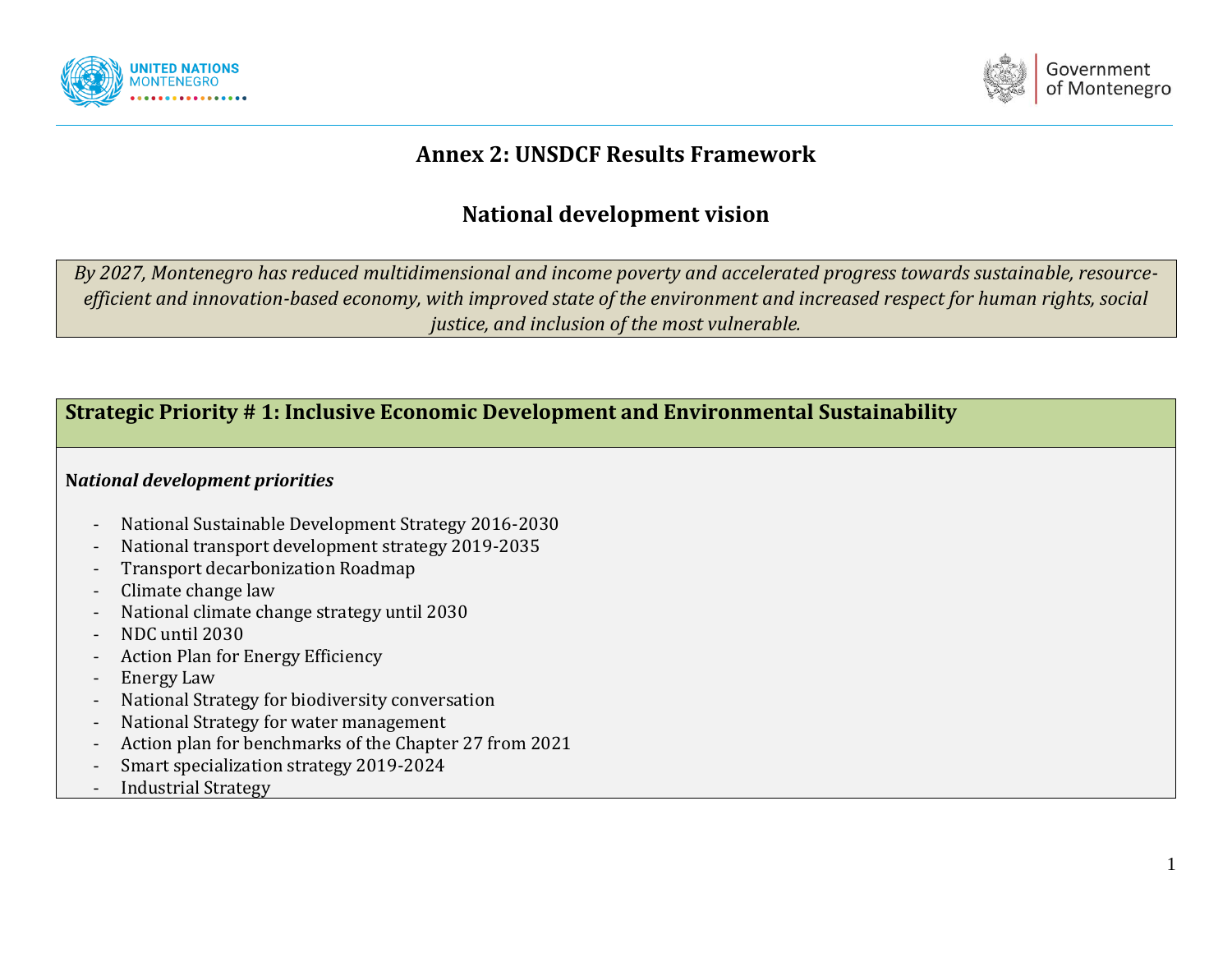



# **Annex 2: UNSDCF Results Framework**

# **National development vision**

*By 2027, Montenegro has reduced multidimensional and income poverty and accelerated progress towards sustainable, resourceefficient and innovation-based economy, with improved state of the environment and increased respect for human rights, social justice, and inclusion of the most vulnerable.*

## **Strategic Priority # 1: Inclusive Economic Development and Environmental Sustainability**

#### **N***ational development priorities*

- National Sustainable Development Strategy 2016-2030
- National transport development strategy 2019-2035
- Transport decarbonization Roadmap
- Climate change law
- National climate change strategy until 2030
- NDC until 2030
- Action Plan for Energy Efficiency
- Energy Law
- National Strategy for biodiversity conversation
- National Strategy for water management
- Action plan for benchmarks of the Chapter 27 from 2021
- Smart specialization strategy 2019-2024
- Industrial Strategy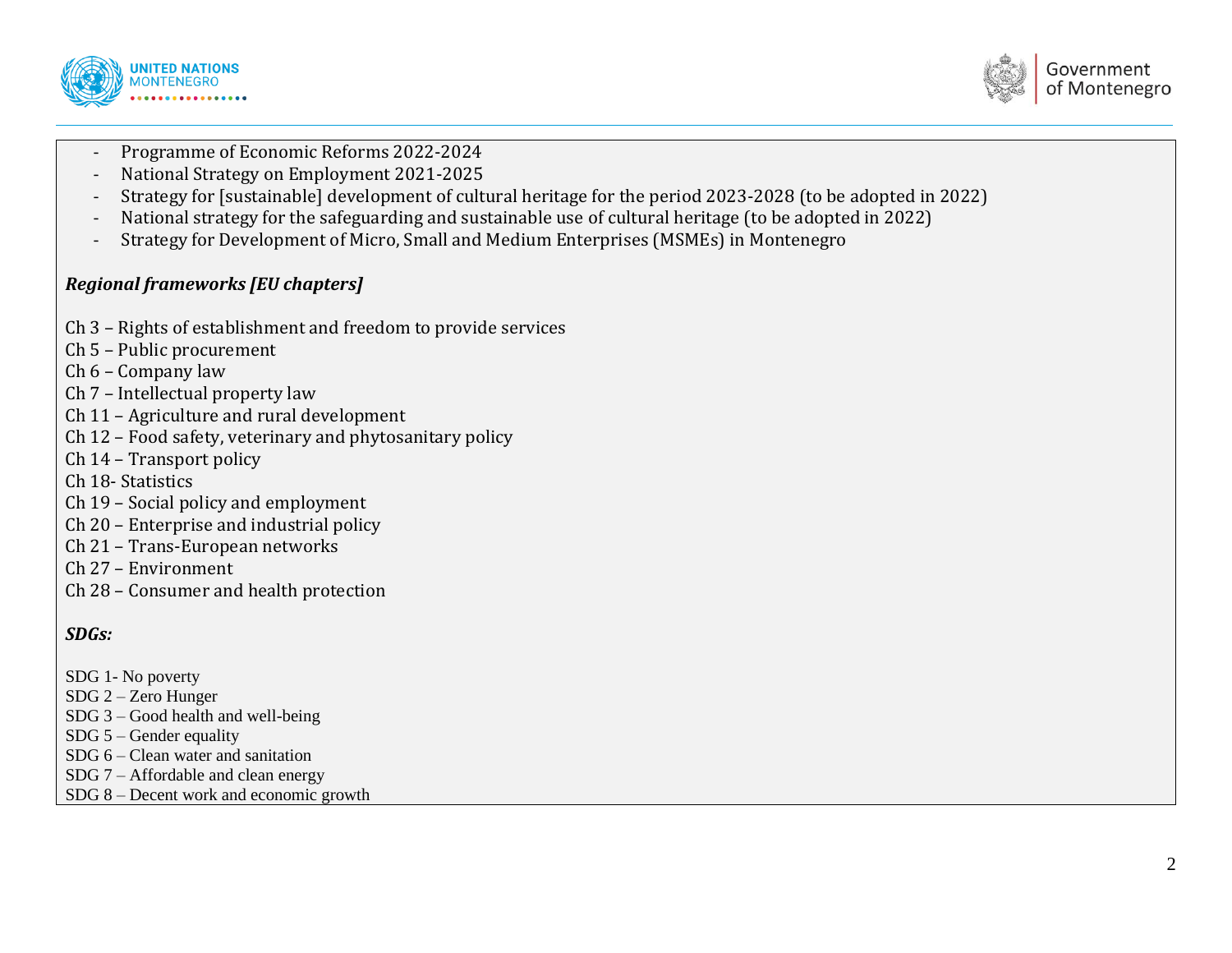



- Programme of Economic Reforms 2022-2024
- National Strategy on Employment 2021-2025
- Strategy for [sustainable] development of cultural heritage for the period 2023-2028 (to be adopted in 2022)
- National strategy for the safeguarding and sustainable use of cultural heritage (to be adopted in 2022)
- Strategy for Development of Micro, Small and Medium Enterprises (MSMEs) in Montenegro

## *Regional frameworks [EU chapters]*

- Ch 3 Rights of establishment and freedom to provide services
- Ch 5 Public procurement
- Ch 6 Company law
- Ch 7 Intellectual property law
- Ch 11 Agriculture and rural development
- Ch 12 Food safety, veterinary and phytosanitary policy
- Ch 14 Transport policy
- Ch 18- Statistics
- Ch 19 Social policy and employment
- Ch 20 Enterprise and industrial policy
- Ch 21 Trans-European networks
- Ch 27 Environment
- Ch 28 Consumer and health protection

## *SDGs:*

- SDG 1- No poverty
- SDG 2 Zero Hunger
- SDG 3 Good health and well-being
- SDG 5 Gender equality
- SDG 6 Clean water and sanitation
- SDG 7 Affordable and clean energy
- SDG 8 Decent work and economic growth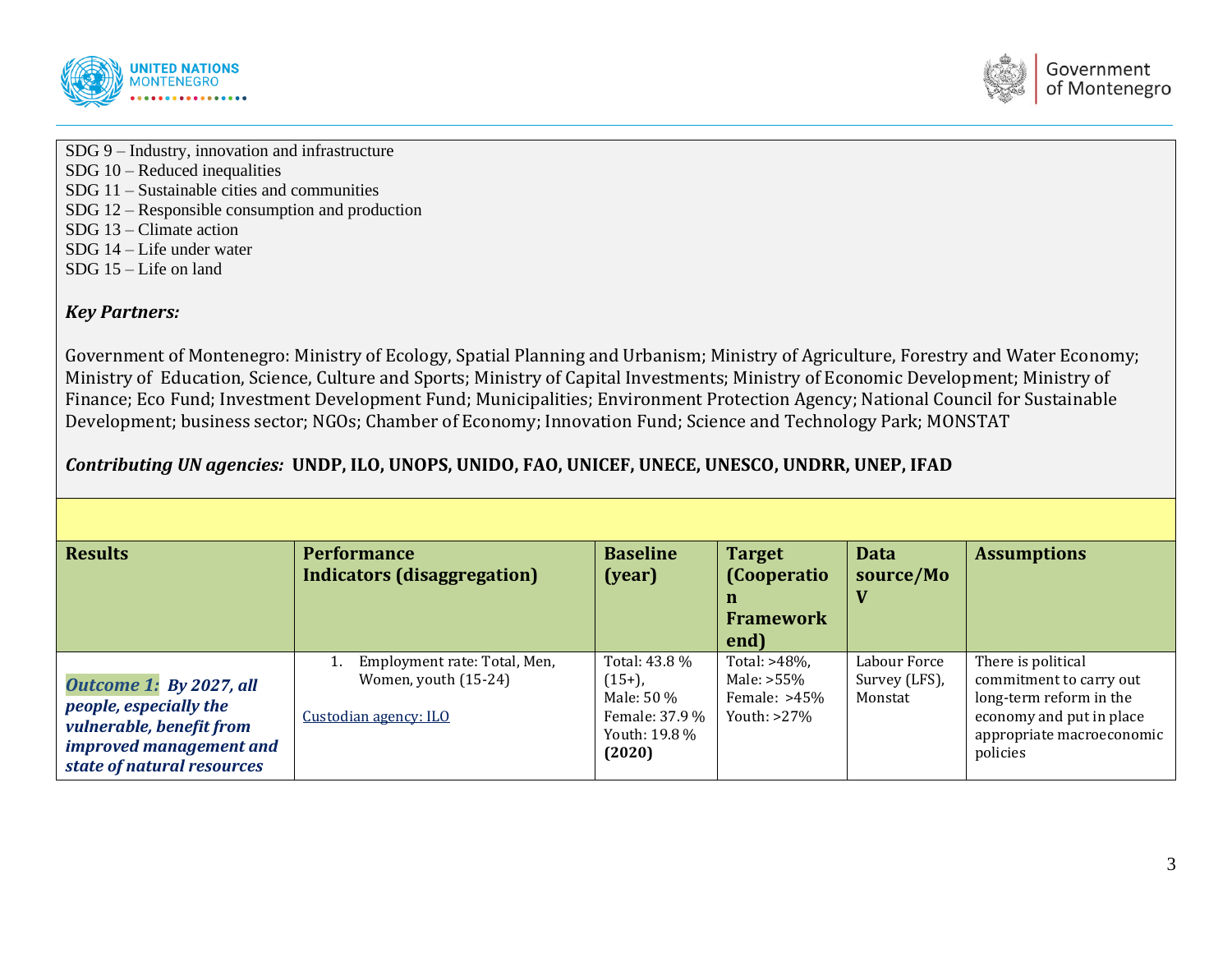



SDG 9 – Industry, innovation and infrastructure SDG 10 – Reduced inequalities SDG 11 – Sustainable cities and communities SDG 12 – Responsible consumption and production SDG 13 – Climate action

- SDG 14 Life under water
- SDG 15 Life on land

#### *Key Partners:*

Government of Montenegro: Ministry of Ecology, Spatial Planning and Urbanism; Ministry of Agriculture, Forestry and Water Economy; Ministry of Education, Science, Culture and Sports; Ministry of Capital Investments; Ministry of Economic Development; Ministry of Finance; Eco Fund; Investment Development Fund; Municipalities; Environment Protection Agency; National Council for Sustainable Development; business sector; NGOs; Chamber of Economy; Innovation Fund; Science and Technology Park; MONSTAT

## *Contributing UN agencies:* **UNDP, ILO, UNOPS, UNIDO, FAO, UNICEF, UNECE, UNESCO, UNDRR, UNEP, IFAD**

| <b>Results</b>                                                                                                                         | <b>Performance</b><br>Indicators (disaggregation)                             | <b>Baseline</b><br>(year)                                                             | <b>Target</b><br>(Cooperatio<br>n<br><b>Framework</b><br>end)   | <b>Data</b><br>source/Mo                 | <b>Assumptions</b>                                                                                                                            |
|----------------------------------------------------------------------------------------------------------------------------------------|-------------------------------------------------------------------------------|---------------------------------------------------------------------------------------|-----------------------------------------------------------------|------------------------------------------|-----------------------------------------------------------------------------------------------------------------------------------------------|
| Outcome 1: By 2027, all<br>people, especially the<br>vulnerable, benefit from<br>improved management and<br>state of natural resources | Employment rate: Total, Men,<br>Women, youth (15-24)<br>Custodian agency: ILO | Total: 43.8 %<br>$(15+)$ ,<br>Male: 50 %<br>Female: 37.9 %<br>Youth: 19.8 %<br>(2020) | Total: >48%,<br>Male: >55%<br>Female: $>45\%$<br>Youth: $>27\%$ | Labour Force<br>Survey (LFS),<br>Monstat | There is political<br>commitment to carry out<br>long-term reform in the<br>economy and put in place<br>appropriate macroeconomic<br>policies |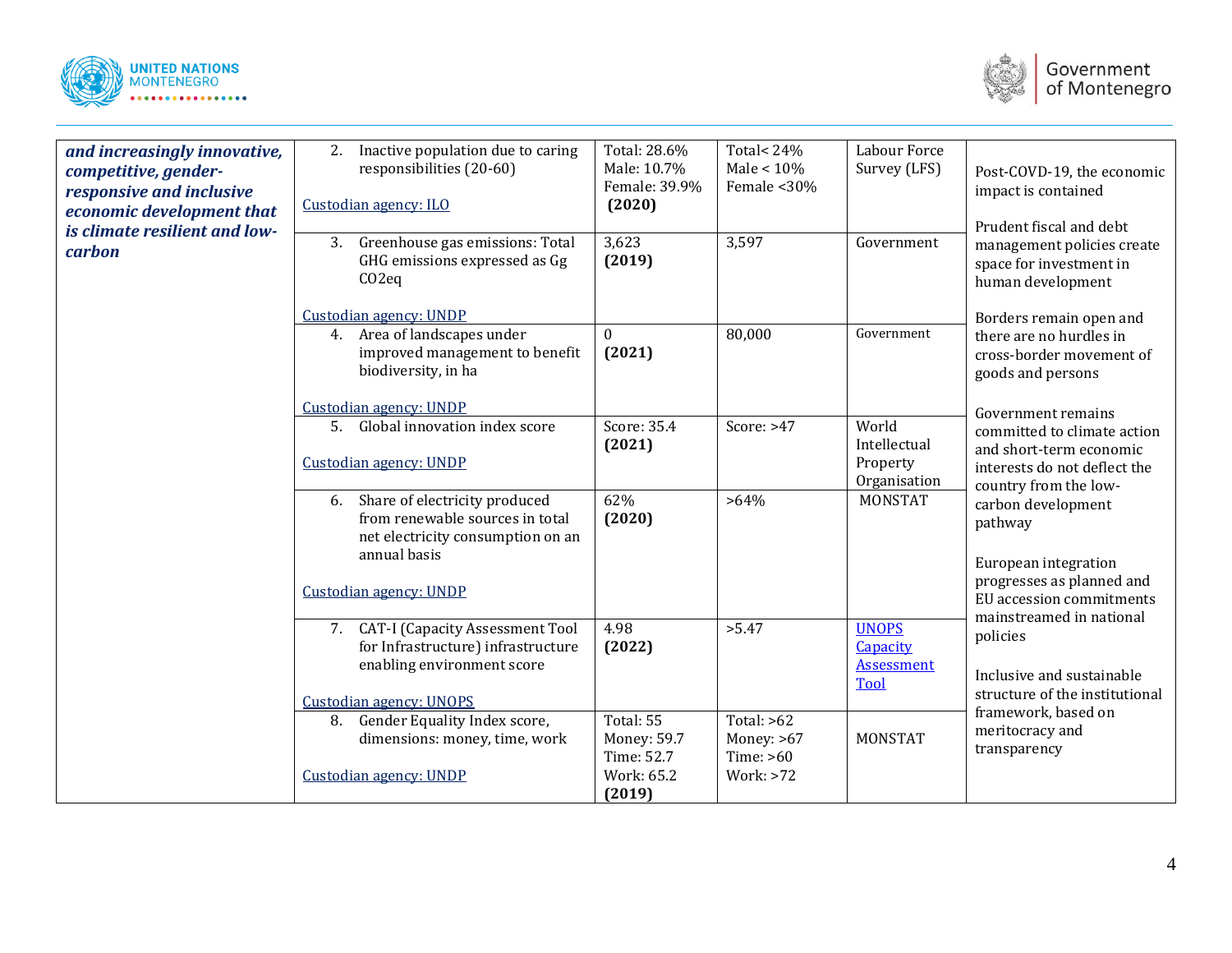



| and increasingly innovative,<br>competitive, gender-<br>responsive and inclusive<br>economic development that<br>is climate resilient and low-<br>carbon | Inactive population due to caring<br>2.<br>responsibilities (20-60)<br>Custodian agency: ILO<br>3. Greenhouse gas emissions: Total<br>GHG emissions expressed as Gg<br>CO2eq | Total: 28.6%<br>Male: 10.7%<br>Female: 39.9%<br>(2020)<br>3,623<br>(2019) | Total<24%<br>Male $< 10\%$<br>Female <30%<br>3,597       | Labour Force<br>Survey (LFS)<br>Government                          | Post-COVD-19, the economic<br>impact is contained<br>Prudent fiscal and debt<br>management policies create<br>space for investment in<br>human development                                                                                                                                                                                                                                                               |
|----------------------------------------------------------------------------------------------------------------------------------------------------------|------------------------------------------------------------------------------------------------------------------------------------------------------------------------------|---------------------------------------------------------------------------|----------------------------------------------------------|---------------------------------------------------------------------|--------------------------------------------------------------------------------------------------------------------------------------------------------------------------------------------------------------------------------------------------------------------------------------------------------------------------------------------------------------------------------------------------------------------------|
|                                                                                                                                                          | Custodian agency: UNDP<br>4. Area of landscapes under<br>improved management to benefit<br>biodiversity, in ha<br>Custodian agency: UNDP                                     | $\mathbf{0}$<br>(2021)                                                    | 80,000                                                   | Government                                                          | Borders remain open and<br>there are no hurdles in<br>cross-border movement of<br>goods and persons                                                                                                                                                                                                                                                                                                                      |
|                                                                                                                                                          | 5. Global innovation index score<br>Custodian agency: UNDP                                                                                                                   | Score: 35.4<br>(2021)                                                     | Score: >47                                               | World<br>Intellectual<br>Property<br>Organisation                   | Government remains<br>committed to climate action<br>and short-term economic<br>interests do not deflect the<br>country from the low-<br>carbon development<br>pathway<br>European integration<br>progresses as planned and<br>EU accession commitments<br>mainstreamed in national<br>policies<br>Inclusive and sustainable<br>structure of the institutional<br>framework, based on<br>meritocracy and<br>transparency |
|                                                                                                                                                          | Share of electricity produced<br>6.<br>from renewable sources in total<br>net electricity consumption on an<br>annual basis<br>Custodian agency: UNDP                        | 62%<br>(2020)                                                             | $>64\%$                                                  | <b>MONSTAT</b>                                                      |                                                                                                                                                                                                                                                                                                                                                                                                                          |
|                                                                                                                                                          | 7. CAT-I (Capacity Assessment Tool<br>for Infrastructure) infrastructure<br>enabling environment score<br>Custodian agency: UNOPS                                            | 4.98<br>(2022)                                                            | >5.47                                                    | <b>UNOPS</b><br><b>Capacity</b><br><b>Assessment</b><br><b>Tool</b> |                                                                                                                                                                                                                                                                                                                                                                                                                          |
|                                                                                                                                                          | Gender Equality Index score,<br>8.<br>dimensions: money, time, work<br>Custodian agency: UNDP                                                                                | Total: 55<br>Money: 59.7<br>Time: 52.7<br>Work: 65.2<br>(2019)            | Total: $>62$<br>Money: $>67$<br>Time: $>60$<br>Work: >72 | <b>MONSTAT</b>                                                      |                                                                                                                                                                                                                                                                                                                                                                                                                          |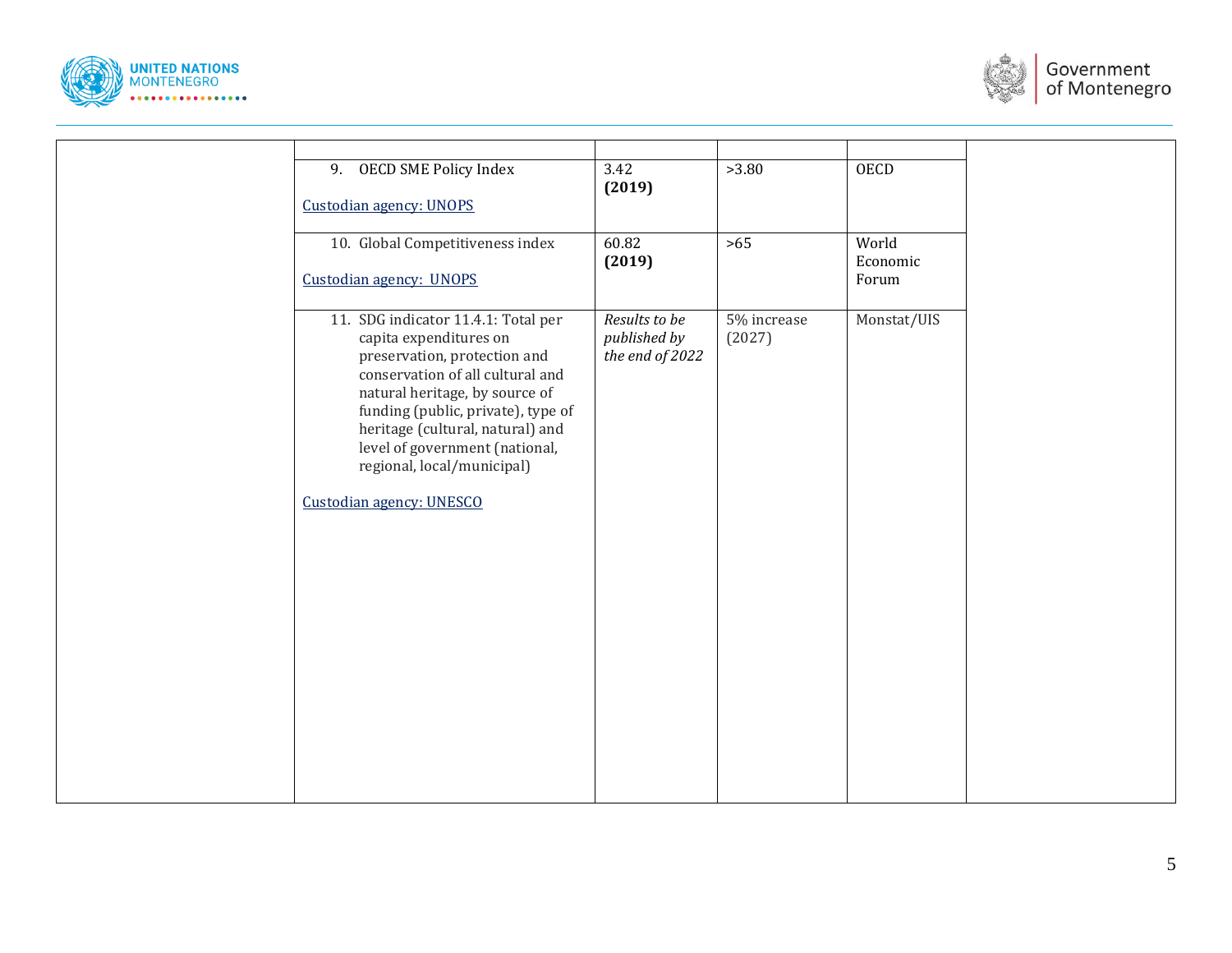



| <b>OECD SME Policy Index</b><br>9.<br>Custodian agency: UNOPS                    |                                                                                                                                                                                                                                                       | $\overline{3.42}$<br>(2019)                      | >3.80                 | <b>OECD</b>                |  |
|----------------------------------------------------------------------------------|-------------------------------------------------------------------------------------------------------------------------------------------------------------------------------------------------------------------------------------------------------|--------------------------------------------------|-----------------------|----------------------------|--|
| 10. Global Competitiveness index<br>Custodian agency: UNOPS                      |                                                                                                                                                                                                                                                       | 60.82<br>(2019)                                  | $>65$                 | World<br>Economic<br>Forum |  |
| capita expenditures on<br>regional, local/municipal)<br>Custodian agency: UNESCO | 11. SDG indicator 11.4.1: Total per<br>preservation, protection and<br>conservation of all cultural and<br>natural heritage, by source of<br>funding (public, private), type of<br>heritage (cultural, natural) and<br>level of government (national, | Results to be<br>published by<br>the end of 2022 | 5% increase<br>(2027) | Monstat/UIS                |  |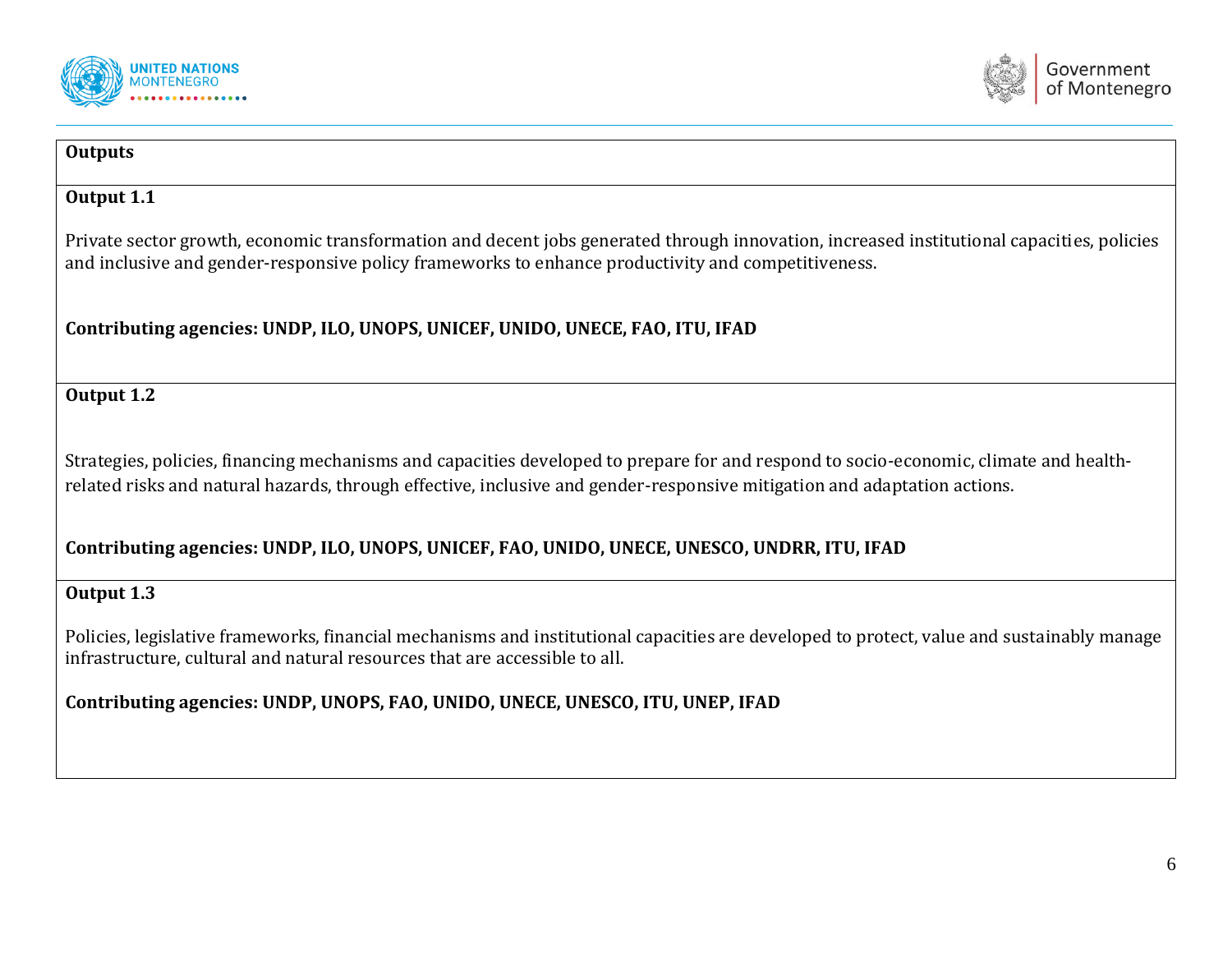



#### **Outputs**

#### **Output 1.1**

Private sector growth, economic transformation and decent jobs generated through innovation, increased institutional capacities, policies and inclusive and gender-responsive policy frameworks to enhance productivity and competitiveness.

## **Contributing agencies: UNDP, ILO, UNOPS, UNICEF, UNIDO, UNECE, FAO, ITU, IFAD**

## **Output 1.2**

Strategies, policies, financing mechanisms and capacities developed to prepare for and respond to socio-economic, climate and healthrelated risks and natural hazards, through effective, inclusive and gender-responsive mitigation and adaptation actions.

## **Contributing agencies: UNDP, ILO, UNOPS, UNICEF, FAO, UNIDO, UNECE, UNESCO, UNDRR, ITU, IFAD**

## **Output 1.3**

Policies, legislative frameworks, financial mechanisms and institutional capacities are developed to protect, value and sustainably manage infrastructure, cultural and natural resources that are accessible to all.

**Contributing agencies: UNDP, UNOPS, FAO, UNIDO, UNECE, UNESCO, ITU, UNEP, IFAD**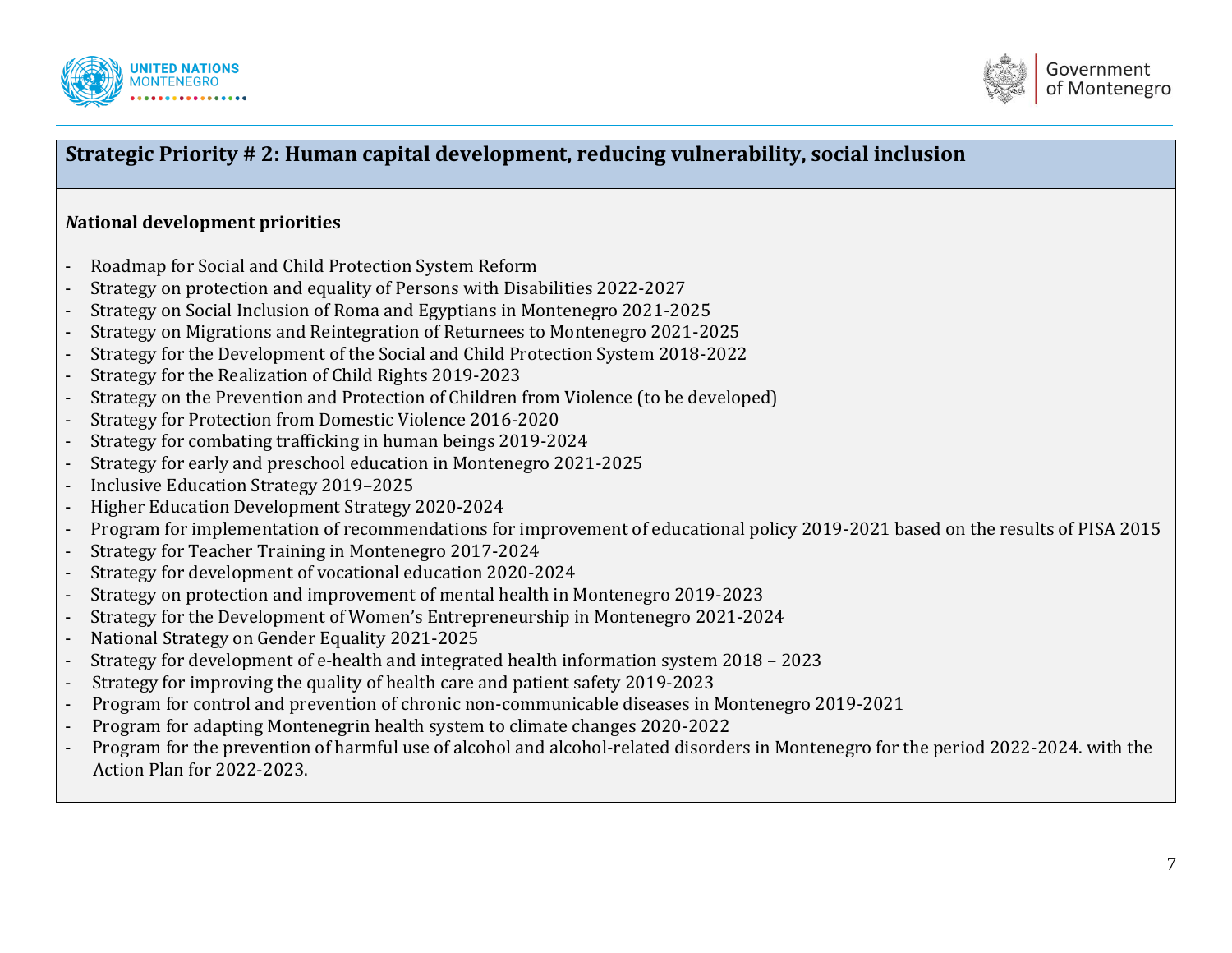



## **Strategic Priority # 2: Human capital development, reducing vulnerability, social inclusion**

## *N***ational development priorities**

- Roadmap for Social and Child Protection System Reform
- Strategy on protection and equality of Persons with Disabilities 2022-2027
- Strategy on Social Inclusion of Roma and Egyptians in Montenegro 2021-2025
- Strategy on Migrations and Reintegration of Returnees to Montenegro 2021-2025
- Strategy for the Development of the Social and Child Protection System 2018-2022
- Strategy for the Realization of Child Rights 2019-2023
- Strategy on the Prevention and Protection of Children from Violence (to be developed)
- Strategy for Protection from Domestic Violence 2016-2020
- Strategy for combating trafficking in human beings 2019-2024
- Strategy for early and preschool education in Montenegro 2021-2025
- Inclusive Education Strategy 2019–2025
- Higher Education Development Strategy 2020-2024
- Program for implementation of recommendations for improvement of educational policy 2019-2021 based on the results of PISA 2015
- Strategy for Teacher Training in Montenegro 2017-2024
- Strategy for development of vocational education 2020-2024
- Strategy on protection and improvement of mental health in Montenegro 2019-2023
- Strategy for the Development of Women's Entrepreneurship in Montenegro 2021-2024
- National Strategy on Gender Equality 2021-2025
- Strategy for development of e-health and integrated health information system 2018 2023
- Strategy for improving the quality of health care and patient safety 2019-2023
- Program for control and prevention of chronic non-communicable diseases in Montenegro 2019-2021
- Program for adapting Montenegrin health system to climate changes 2020-2022
- Program for the prevention of harmful use of alcohol and alcohol-related disorders in Montenegro for the period 2022-2024. with the Action Plan for 2022-2023.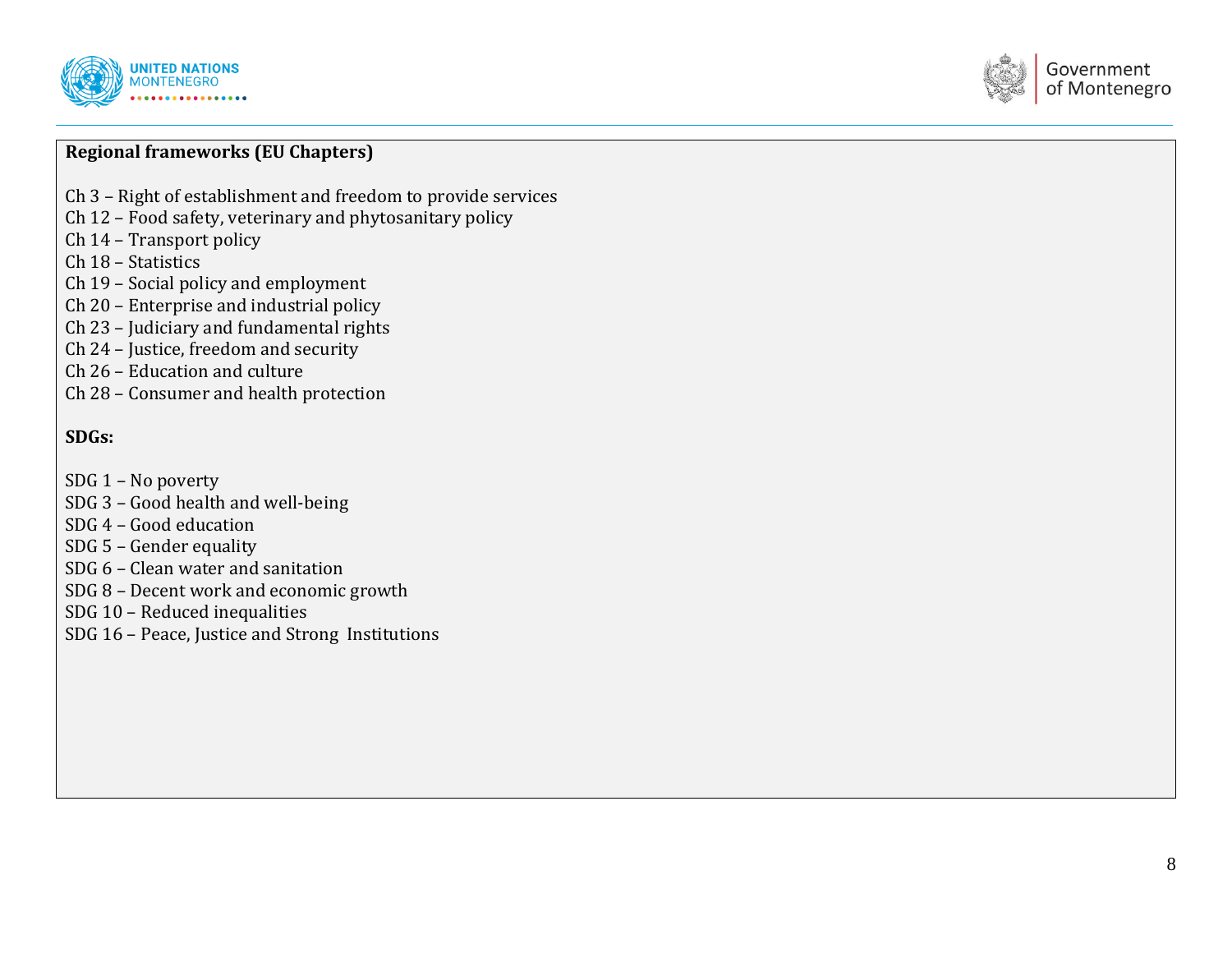



## **Regional frameworks (EU Chapters)**

- Ch 3 Right of establishment and freedom to provide services
- Ch 12 Food safety, veterinary and phytosanitary policy
- Ch 14 Transport policy
- Ch 18 Statistics
- Ch 19 Social policy and employment
- Ch 20 Enterprise and industrial policy
- Ch 23 Judiciary and fundamental rights
- Ch 24 Justice, freedom and security
- Ch 26 Education and culture
- Ch 28 Consumer and health protection

#### **SDGs:**

- SDG 1 No poverty
- SDG 3 Good health and well -being
- SDG 4 Good education
- SDG 5 Gender equality
- SDG 6 Clean water and sanitation
- SDG 8 Decent work and economic growth
- SDG 10 Reduced inequalities
- SDG 16 Peace, Justice and Strong Institutions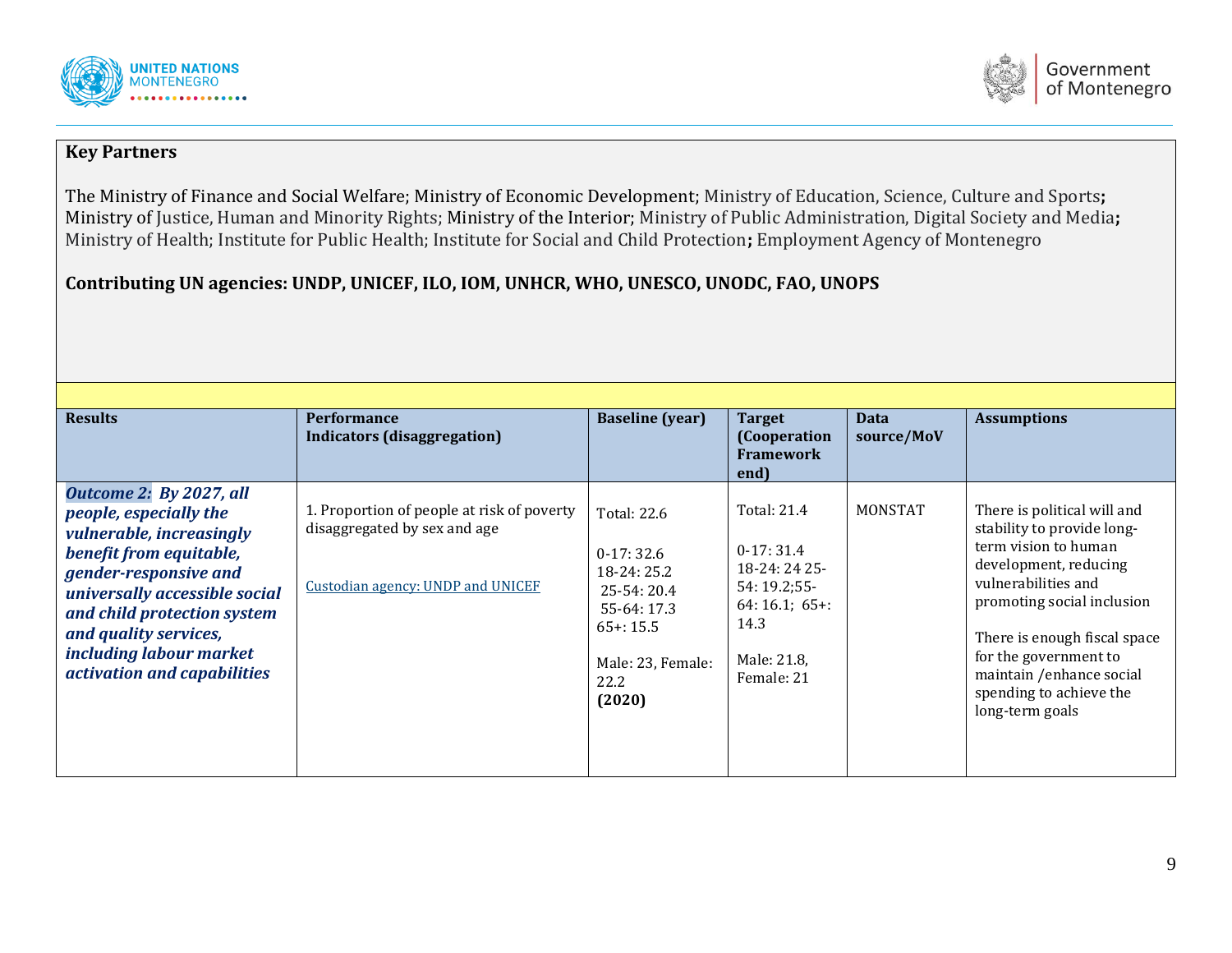



#### **Key Partners**

The Ministry of Finance and Social Welfare; Ministry of Economic Development; Ministry of Education, Science, Culture and Sports**;**  Ministry of Justice, Human and Minority Rights; Ministry of the Interior; Ministry of Public Administration, Digital Society and Media**;**  Ministry of Health; Institute for Public Health; Institute for Social and Child Protection**;** Employment Agency of Montenegro

## **Contributing UN agencies: UNDP, UNICEF, ILO, IOM, UNHCR, WHO, UNESCO, UNODC, FAO, UNOPS**

| <b>Results</b>                                                                                                                                                                                                                                                                       | <b>Performance</b><br>Indicators (disaggregation)                                                               | <b>Baseline</b> (year)                                                                                                         | <b>Target</b><br>(Cooperation<br><b>Framework</b><br>end)                                                        | <b>Data</b><br>source/MoV | <b>Assumptions</b>                                                                                                                                                                                                                                                                                 |
|--------------------------------------------------------------------------------------------------------------------------------------------------------------------------------------------------------------------------------------------------------------------------------------|-----------------------------------------------------------------------------------------------------------------|--------------------------------------------------------------------------------------------------------------------------------|------------------------------------------------------------------------------------------------------------------|---------------------------|----------------------------------------------------------------------------------------------------------------------------------------------------------------------------------------------------------------------------------------------------------------------------------------------------|
| Outcome 2: By 2027, all<br>people, especially the<br>vulnerable, increasingly<br>benefit from equitable,<br>gender-responsive and<br>universally accessible social<br>and child protection system<br>and quality services,<br>including labour market<br>activation and capabilities | 1. Proportion of people at risk of poverty<br>disaggregated by sex and age<br>Custodian agency: UNDP and UNICEF | Total: 22.6<br>$0-17:32.6$<br>$18-24:25.2$<br>25-54: 20.4<br>55-64: 17.3<br>$65 + 15.5$<br>Male: 23, Female:<br>22.2<br>(2020) | Total: 21.4<br>$0-17:31.4$<br>18-24: 24 25-<br>54:19.2;55<br>$64:16.1; 65+$<br>14.3<br>Male: 21.8,<br>Female: 21 | MONSTAT                   | There is political will and<br>stability to provide long-<br>term vision to human<br>development, reducing<br>vulnerabilities and<br>promoting social inclusion<br>There is enough fiscal space<br>for the government to<br>maintain /enhance social<br>spending to achieve the<br>long-term goals |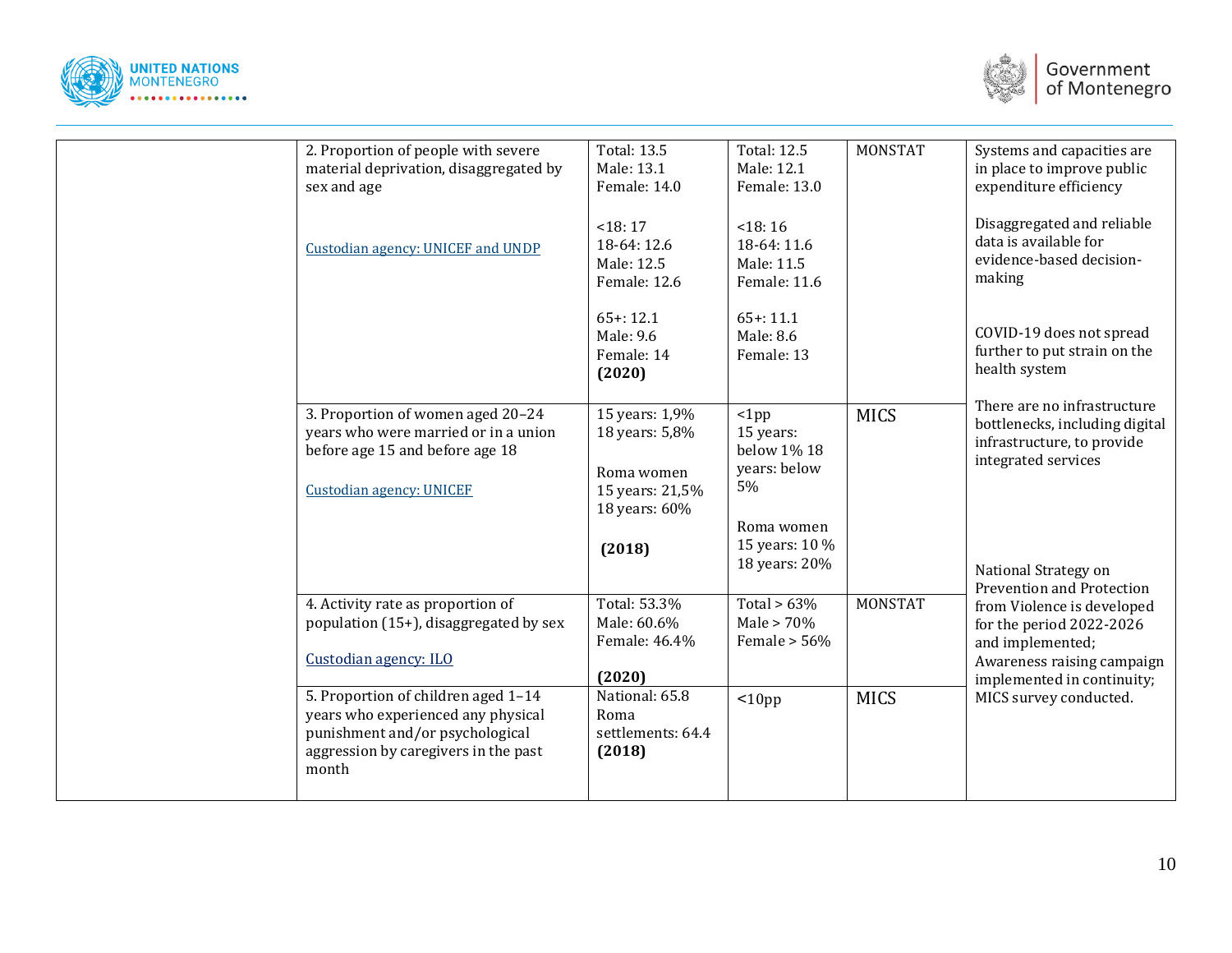



| 2. Proportion of people with severe<br>material deprivation, disaggregated by<br>sex and age                                                                  | <b>Total: 13.5</b><br>Male: 13.1<br>Female: 14.0                                   | <b>Total: 12.5</b><br>Male: 12.1<br>Female: 13.0          | <b>MONSTAT</b> | Systems and capacities are<br>in place to improve public<br>expenditure efficiency                                                     |
|---------------------------------------------------------------------------------------------------------------------------------------------------------------|------------------------------------------------------------------------------------|-----------------------------------------------------------|----------------|----------------------------------------------------------------------------------------------------------------------------------------|
| Custodian agency: UNICEF and UNDP                                                                                                                             | < 18:17<br>18-64: 12.6<br>Male: 12.5<br>Female: 12.6                               | < 18:16<br>18-64: 11.6<br>Male: 11.5<br>Female: 11.6      |                | Disaggregated and reliable<br>data is available for<br>evidence-based decision-<br>making                                              |
|                                                                                                                                                               | $65 + 12.1$<br>Male: 9.6<br>Female: 14<br>(2020)                                   | $65 + 11.1$<br>Male: 8.6<br>Female: 13                    |                | COVID-19 does not spread<br>further to put strain on the<br>health system                                                              |
| 3. Proportion of women aged 20-24<br>years who were married or in a union<br>before age 15 and before age 18<br><b>Custodian agency: UNICEF</b>               | 15 years: 1,9%<br>18 years: 5,8%<br>Roma women<br>15 years: 21,5%<br>18 years: 60% | $ 1$ pp<br>15 years:<br>below 1% 18<br>years: below<br>5% | <b>MICS</b>    | There are no infrastructure<br>bottlenecks, including digital<br>infrastructure, to provide<br>integrated services                     |
|                                                                                                                                                               | (2018)                                                                             | Roma women<br>15 years: 10 %<br>18 years: 20%             |                | National Strategy on<br>Prevention and Protection                                                                                      |
| 4. Activity rate as proportion of<br>population (15+), disaggregated by sex<br>Custodian agency: ILO                                                          | Total: 53.3%<br>Male: 60.6%<br>Female: 46.4%<br>(2020)                             | Total > $63\%$<br>Male $> 70\%$<br>Female $> 56\%$        | <b>MONSTAT</b> | from Violence is developed<br>for the period 2022-2026<br>and implemented;<br>Awareness raising campaign<br>implemented in continuity; |
| 5. Proportion of children aged 1-14<br>years who experienced any physical<br>punishment and/or psychological<br>aggression by caregivers in the past<br>month | National: 65.8<br>Roma<br>settlements: 64.4<br>(2018)                              | $10pp$                                                    | <b>MICS</b>    | MICS survey conducted.                                                                                                                 |
|                                                                                                                                                               |                                                                                    |                                                           |                |                                                                                                                                        |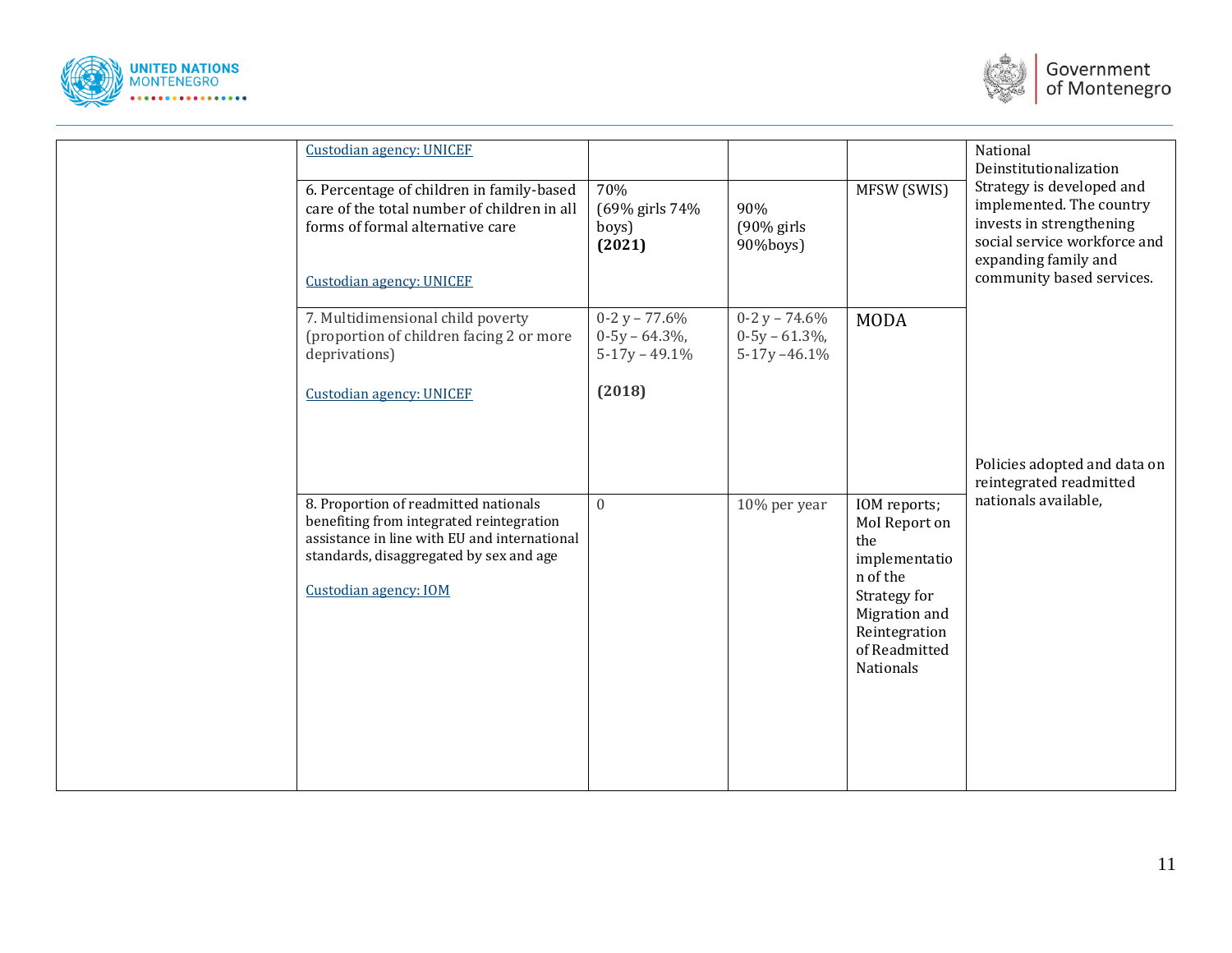



| <b>Custodian agency: UNICEF</b><br>6. Percentage of children in family-based<br>care of the total number of children in all         | 70%<br>(69% girls 74%                                | 90%                                                   | MFSW (SWIS)                                                     | National<br>Deinstitutionalization<br>Strategy is developed and<br>implemented. The country                   |
|-------------------------------------------------------------------------------------------------------------------------------------|------------------------------------------------------|-------------------------------------------------------|-----------------------------------------------------------------|---------------------------------------------------------------------------------------------------------------|
| forms of formal alternative care<br><b>Custodian agency: UNICEF</b>                                                                 | boys)<br>(2021)                                      | $(90\%$ girls<br>90%boys)                             |                                                                 | invests in strengthening<br>social service workforce and<br>expanding family and<br>community based services. |
| 7. Multidimensional child poverty<br>(proportion of children facing 2 or more<br>deprivations)                                      | $0-2y - 77.6%$<br>$0-5y - 64.3\%$<br>$5-17y - 49.1%$ | $0-2 y - 74.6%$<br>$0-5y - 61.3\%$<br>$5-17y - 46.1%$ | <b>MODA</b>                                                     |                                                                                                               |
| <b>Custodian agency: UNICEF</b>                                                                                                     | (2018)                                               |                                                       |                                                                 |                                                                                                               |
| 8. Proportion of readmitted nationals                                                                                               | $\overline{0}$                                       |                                                       | IOM reports;                                                    | Policies adopted and data on<br>reintegrated readmitted<br>nationals available,                               |
| benefiting from integrated reintegration<br>assistance in line with EU and international<br>standards, disaggregated by sex and age |                                                      | 10% per year                                          | Mol Report on<br>the<br>implementatio<br>n of the               |                                                                                                               |
| Custodian agency: IOM                                                                                                               |                                                      |                                                       | Strategy for<br>Migration and<br>Reintegration<br>of Readmitted |                                                                                                               |
|                                                                                                                                     |                                                      |                                                       | <b>Nationals</b>                                                |                                                                                                               |
|                                                                                                                                     |                                                      |                                                       |                                                                 |                                                                                                               |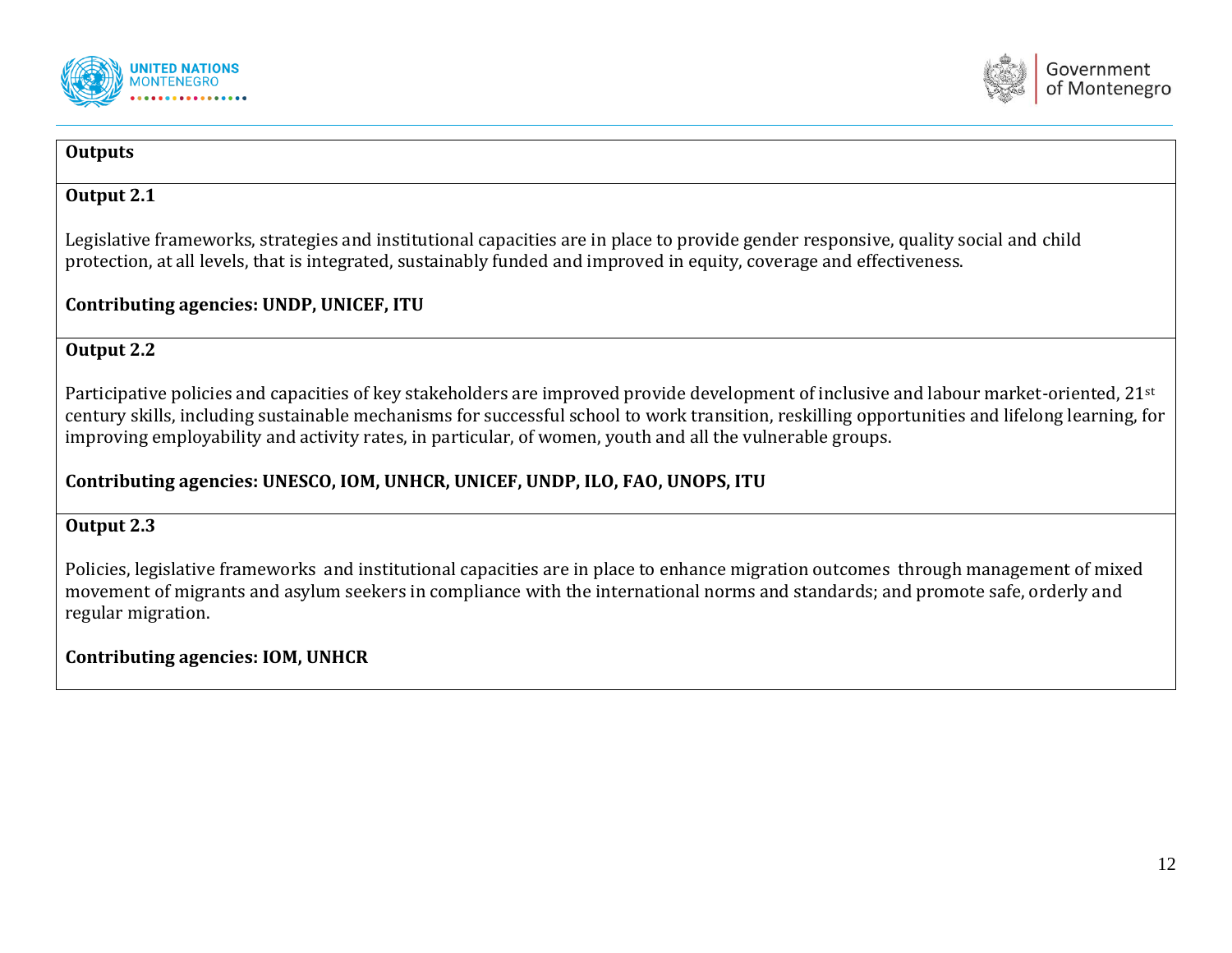



#### **Outputs**

#### **Output 2.1**

Legislative frameworks, strategies and institutional capacities are in place to provide gender responsive, quality social and child protection, at all levels, that is integrated, sustainably funded and improved in equity, coverage and effectiveness.

#### **Contributing agencies: UNDP, UNICEF, ITU**

#### **Output 2.2**

Participative policies and capacities of key stakeholders are improved provide development of inclusive and labour market-oriented, 21st century skills, including sustainable mechanisms for successful school to work transition, reskilling opportunities and lifelong learning, for improving employability and activity rates, in particular, of women, youth and all the vulnerable groups.

## **Contributing agencies: UNESCO, IOM, UNHCR, UNICEF, UNDP, ILO, FAO, UNOPS, ITU**

#### **Output 2.3**

Policies, legislative frameworks and institutional capacities are in place to enhance migration outcomes through management of mixed movement of migrants and asylum seekers in compliance with the international norms and standards; and promote safe, orderly and regular migration.

## **Contributing agencies: IOM, UNHCR**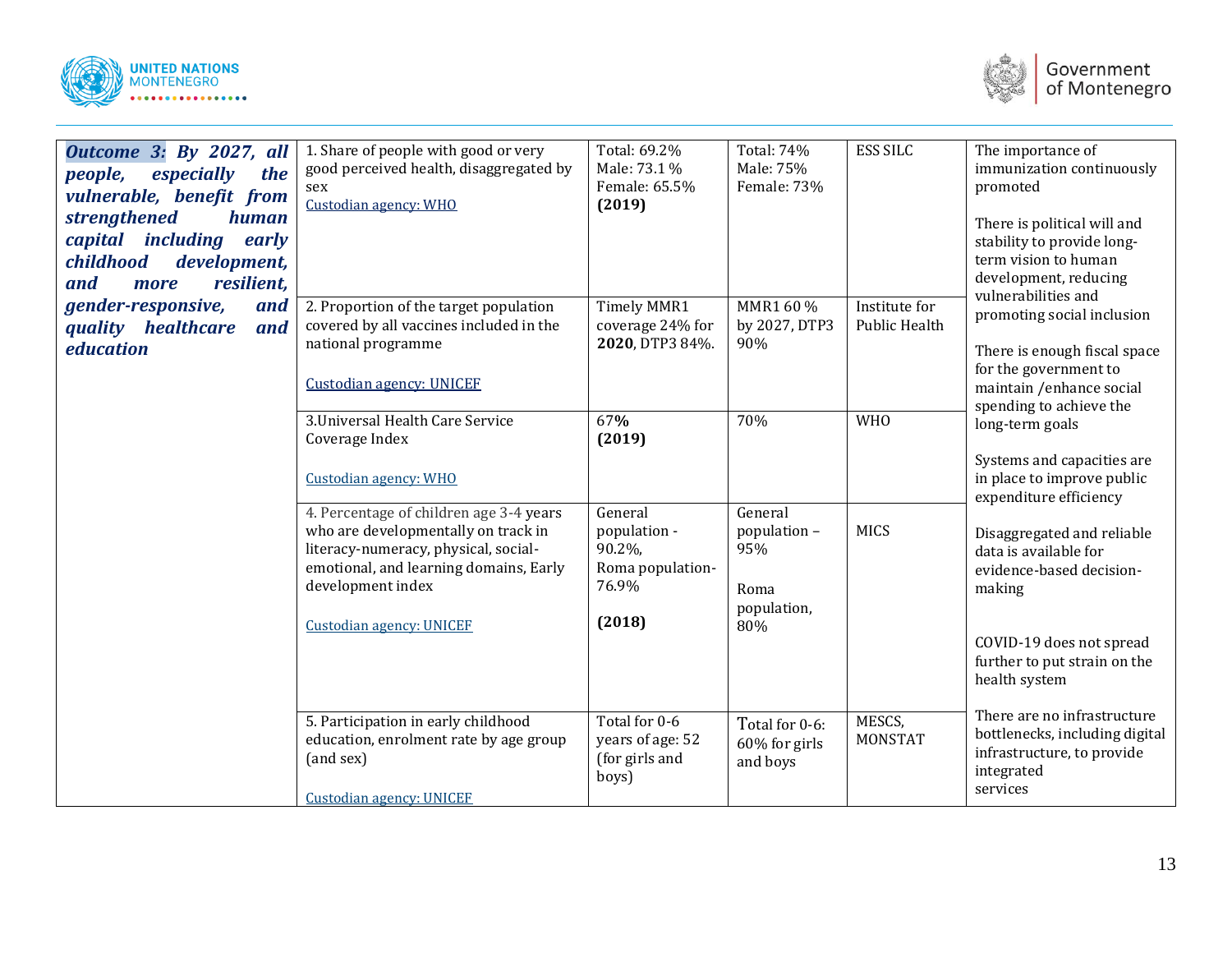



| Outcome 3: By 2027, all<br>especially<br>people,<br>the<br>vulnerable, benefit from<br>strengthened<br><b>human</b><br>capital including<br>early<br>childhood<br>development,<br>resilient,<br>and<br>more | 1. Share of people with good or very<br>good perceived health, disaggregated by<br>sex<br>Custodian agency: WHO                                                                                                          | Total: 69.2%<br>Male: 73.1 %<br>Female: 65.5%<br>(2019)                  | Total: 74%<br>Male: 75%<br>Female: 73%                       | <b>ESS SILC</b>                       | The importance of<br>immunization continuously<br>promoted<br>There is political will and<br>stability to provide long-<br>term vision to human<br>development, reducing |
|-------------------------------------------------------------------------------------------------------------------------------------------------------------------------------------------------------------|--------------------------------------------------------------------------------------------------------------------------------------------------------------------------------------------------------------------------|--------------------------------------------------------------------------|--------------------------------------------------------------|---------------------------------------|--------------------------------------------------------------------------------------------------------------------------------------------------------------------------|
| gender-responsive,<br>and<br>quality healthcare<br>and<br>education                                                                                                                                         | 2. Proportion of the target population<br>covered by all vaccines included in the<br>national programme<br><b>Custodian agency: UNICEF</b>                                                                               | Timely MMR1<br>coverage 24% for<br>2020, DTP3 84%.                       | MMR1 60 %<br>by 2027, DTP3<br>90%                            | Institute for<br><b>Public Health</b> | vulnerabilities and<br>promoting social inclusion<br>There is enough fiscal space<br>for the government to<br>maintain /enhance social<br>spending to achieve the        |
|                                                                                                                                                                                                             | 3. Universal Health Care Service<br>Coverage Index<br>Custodian agency: WHO                                                                                                                                              | 67%<br>(2019)                                                            | 70%                                                          | <b>WHO</b>                            | long-term goals<br>Systems and capacities are<br>in place to improve public<br>expenditure efficiency                                                                    |
|                                                                                                                                                                                                             | 4. Percentage of children age 3-4 years<br>who are developmentally on track in<br>literacy-numeracy, physical, social-<br>emotional, and learning domains, Early<br>development index<br><b>Custodian agency: UNICEF</b> | General<br>population -<br>90.2%,<br>Roma population-<br>76.9%<br>(2018) | General<br>population -<br>95%<br>Roma<br>population,<br>80% | <b>MICS</b>                           | Disaggregated and reliable<br>data is available for<br>evidence-based decision-<br>making<br>COVID-19 does not spread<br>further to put strain on the<br>health system   |
|                                                                                                                                                                                                             | 5. Participation in early childhood<br>education, enrolment rate by age group<br>(and sex)<br><b>Custodian agency: UNICEF</b>                                                                                            | Total for 0-6<br>years of age: 52<br>(for girls and<br>boys)             | Total for 0-6:<br>$60\%$ for girls<br>and boys               | MESCS,<br><b>MONSTAT</b>              | There are no infrastructure<br>bottlenecks, including digital<br>infrastructure, to provide<br>integrated<br>services                                                    |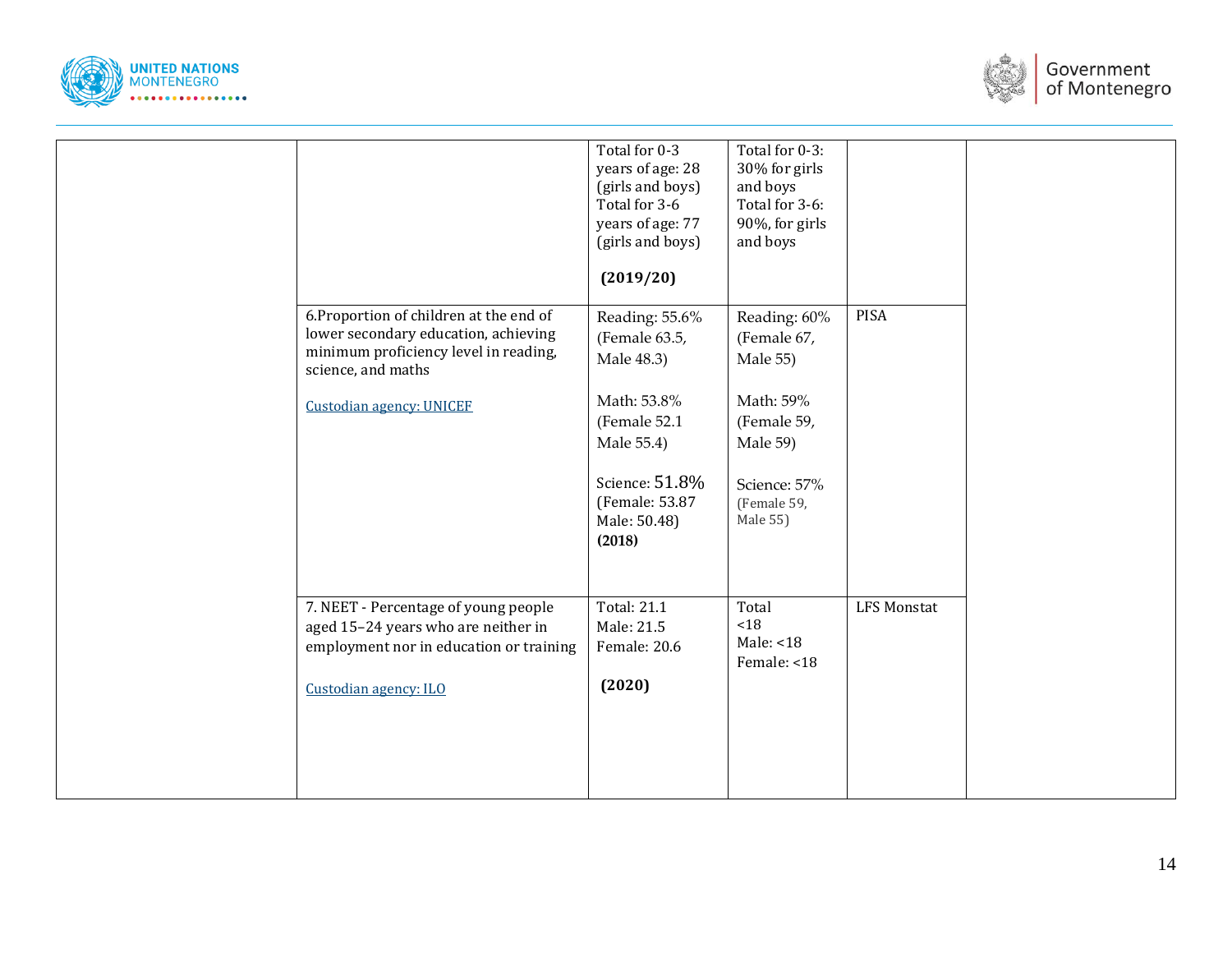



|                                         | Total for 0-3      | Total for 0-3: |                    |  |
|-----------------------------------------|--------------------|----------------|--------------------|--|
|                                         | years of age: 28   | 30% for girls  |                    |  |
|                                         |                    |                |                    |  |
|                                         | (girls and boys)   | and boys       |                    |  |
|                                         | Total for 3-6      | Total for 3-6: |                    |  |
|                                         | years of age: 77   | 90%, for girls |                    |  |
|                                         | (girls and boys)   | and boys       |                    |  |
|                                         |                    |                |                    |  |
|                                         |                    |                |                    |  |
|                                         | (2019/20)          |                |                    |  |
|                                         |                    |                |                    |  |
| 6. Proportion of children at the end of | Reading: 55.6%     | Reading: 60%   | PISA               |  |
| lower secondary education, achieving    |                    |                |                    |  |
| minimum proficiency level in reading,   | (Female 63.5,      | (Female 67,    |                    |  |
|                                         | Male 48.3)         | Male 55)       |                    |  |
| science, and maths                      |                    |                |                    |  |
|                                         |                    |                |                    |  |
| <b>Custodian agency: UNICEF</b>         | Math: 53.8%        | Math: 59%      |                    |  |
|                                         | (Female 52.1)      | (Female 59,    |                    |  |
|                                         | Male 55.4)         | Male 59)       |                    |  |
|                                         |                    |                |                    |  |
|                                         |                    |                |                    |  |
|                                         | Science: 51.8%     | Science: 57%   |                    |  |
|                                         | (Female: 53.87     | (Female 59,    |                    |  |
|                                         | Male: 50.48)       | Male 55)       |                    |  |
|                                         |                    |                |                    |  |
|                                         | (2018)             |                |                    |  |
|                                         |                    |                |                    |  |
|                                         |                    |                |                    |  |
|                                         |                    |                |                    |  |
| 7. NEET - Percentage of young people    | <b>Total: 21.1</b> | Total          | <b>LFS Monstat</b> |  |
| aged 15-24 years who are neither in     | Male: 21.5         | $<18$          |                    |  |
| employment nor in education or training | Female: 20.6       | Male: <18      |                    |  |
|                                         |                    | Female: <18    |                    |  |
|                                         |                    |                |                    |  |
| Custodian agency: ILO                   | (2020)             |                |                    |  |
|                                         |                    |                |                    |  |
|                                         |                    |                |                    |  |
|                                         |                    |                |                    |  |
|                                         |                    |                |                    |  |
|                                         |                    |                |                    |  |
|                                         |                    |                |                    |  |
|                                         |                    |                |                    |  |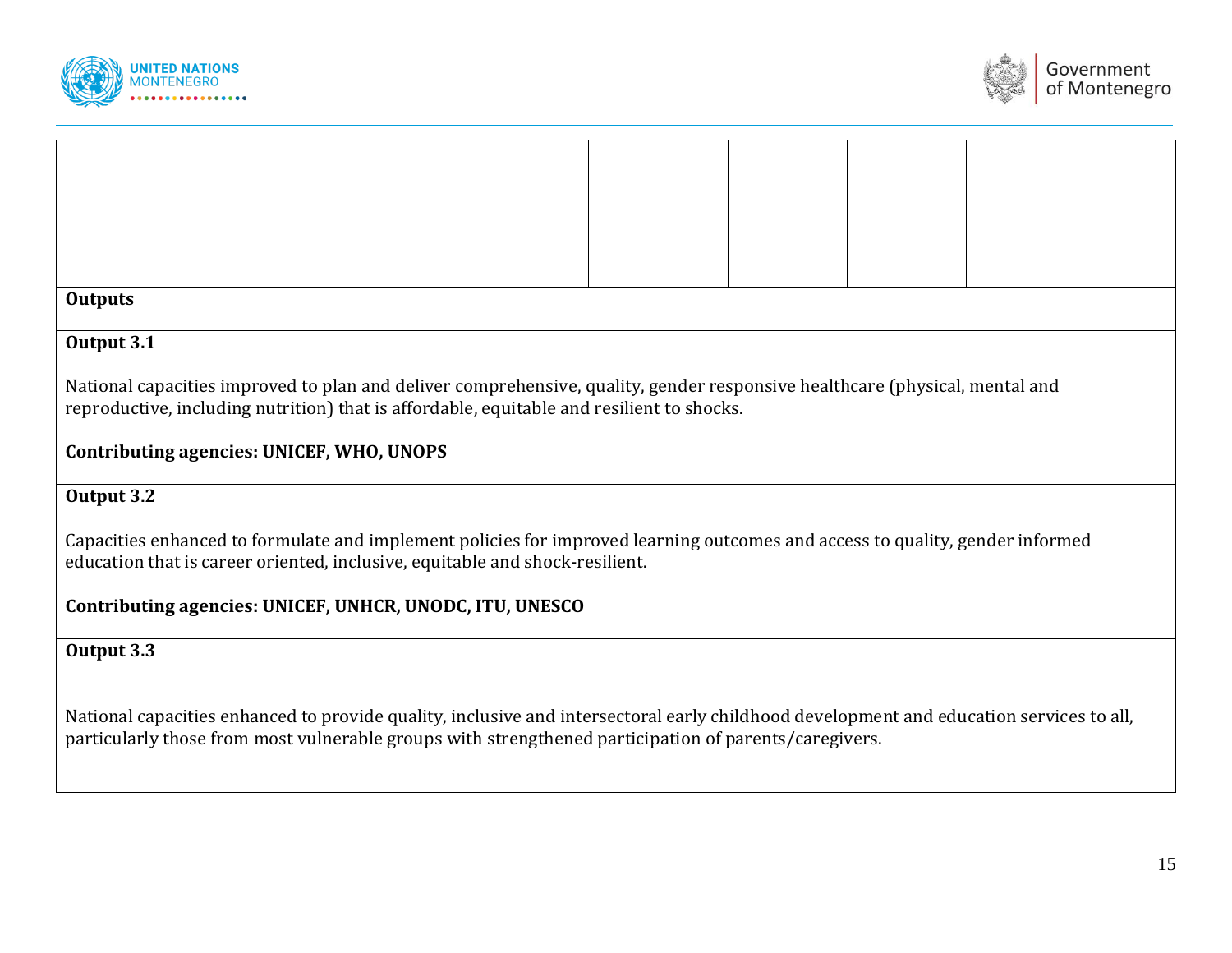



| <b>Outputs</b>                                                                                                              |  |  |  |  |  |  |  |  |
|-----------------------------------------------------------------------------------------------------------------------------|--|--|--|--|--|--|--|--|
|                                                                                                                             |  |  |  |  |  |  |  |  |
|                                                                                                                             |  |  |  |  |  |  |  |  |
| Output 3.1                                                                                                                  |  |  |  |  |  |  |  |  |
|                                                                                                                             |  |  |  |  |  |  |  |  |
|                                                                                                                             |  |  |  |  |  |  |  |  |
| National capacities improved to plan and deliver comprehensive, quality, gender responsive healthcare (physical, mental and |  |  |  |  |  |  |  |  |
|                                                                                                                             |  |  |  |  |  |  |  |  |
| reproductive, including nutrition) that is affordable, equitable and resilient to shocks.                                   |  |  |  |  |  |  |  |  |
|                                                                                                                             |  |  |  |  |  |  |  |  |
|                                                                                                                             |  |  |  |  |  |  |  |  |

## **Contributing agencies: UNICEF, WHO, UNOPS**

## **Output 3.2**

Capacities enhanced to formulate and implement policies for improved learning outcomes and access to quality, gender informed education that is career oriented, inclusive, equitable and shock-resilient.

## **Contributing agencies: UNICEF, UNHCR, UNODC, ITU, UNESCO**

## **Output 3.3**

National capacities enhanced to provide quality, inclusive and intersectoral early childhood development and education services to all, particularly those from most vulnerable groups with strengthened participation of parents/caregivers.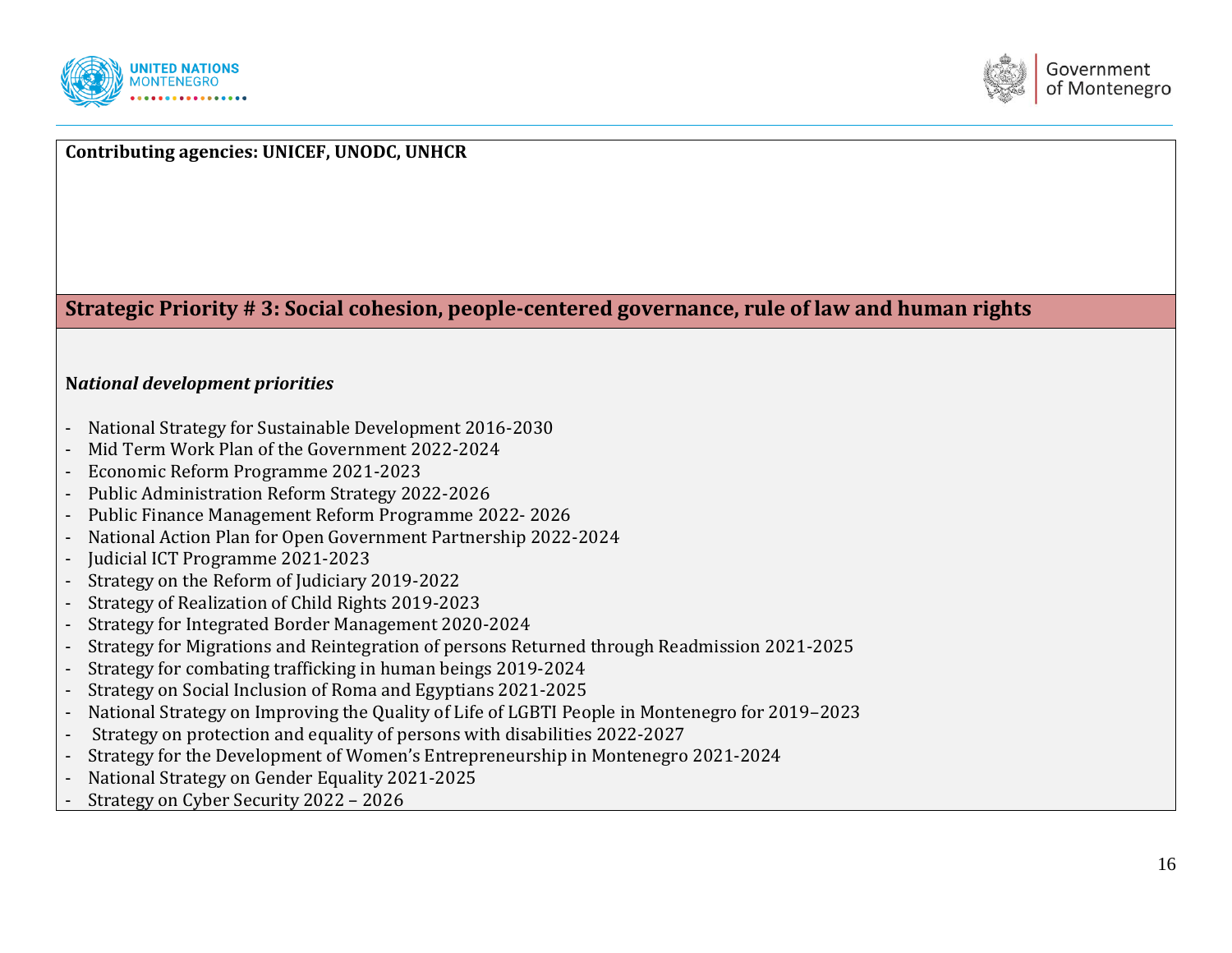



## **Contributing agencies: UNICEF, UNODC, UNHCR**

**Strategic Priority # 3: Social cohesion, people-centered governance, rule of law and human rights**

#### **N***ational development priorities*

- National Strategy for Sustainable Development 2016-2030
- Mid Term Work Plan of the Government 2022-2024
- Economic Reform Programme 2021-2023
- Public Administration Reform Strategy 2022-2026
- Public Finance Management Reform Programme 2022- 2026
- National Action Plan for Open Government Partnership 2022-2024
- Judicial ICT Programme 2021-2023
- Strategy on the Reform of Judiciary 2019-2022
- Strategy of Realization of Child Rights 2019-2023
- Strategy for Integrated Border Management 2020-2024
- Strategy for Migrations and Reintegration of persons Returned through Readmission 2021-2025
- Strategy for combating trafficking in human beings 2019-2024
- Strategy on Social Inclusion of Roma and Egyptians 2021-2025
- National Strategy on Improving the Quality of Life of LGBTI People in Montenegro for 2019–2023
- Strategy on protection and equality of persons with disabilities 2022-2027
- Strategy for the Development of Women's Entrepreneurship in Montenegro 2021-2024
- National Strategy on Gender Equality 2021-2025
- Strategy on Cyber Security 2022 2026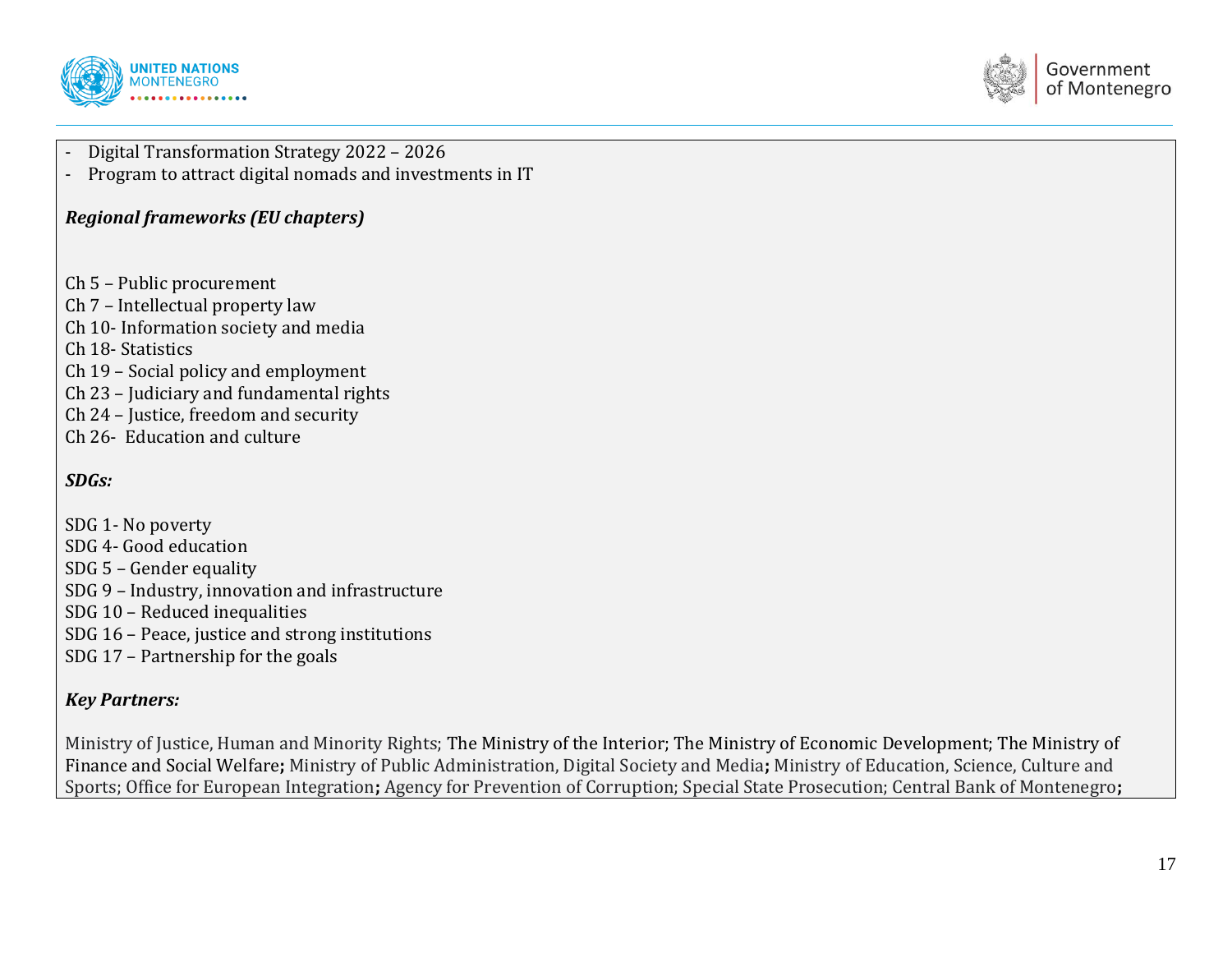



- Digital Transformation Strategy 2022 – 2026

- Program to attract digital nomads and investments in IT

#### *Regional frameworks (EU chapters)*

- Ch 5 Public procurement
- Ch 7 Intellectual property law
- Ch 10- Information society and media
- Ch 18- Statistics
- Ch 19 Social policy and employment
- Ch 23 Judiciary and fundamental rights
- Ch 24 Justice, freedom and security
- Ch 26- Education and culture

## *SDGs:*

- SDG 1- No poverty SDG 4- Good education SDG 5 – Gender equality SDG 9 – Industry, innovation and infrastructure SDG 10 – Reduced inequalities SDG 16 – Peace, justice and strong institutions
- SDG 17 Partnership for the goals

## *Key Partners:*

Ministry of Justice, Human and Minority Rights; The Ministry of the Interior; The Ministry of Economic Development; The Ministry of Finance and Social Welfare**;** Ministry of Public Administration, Digital Society and Media**;** Ministry of Education, Science, Culture and Sports; Office for European Integration**;** Agency for Prevention of Corruption; Special State Prosecution; Central Bank of Montenegro**;**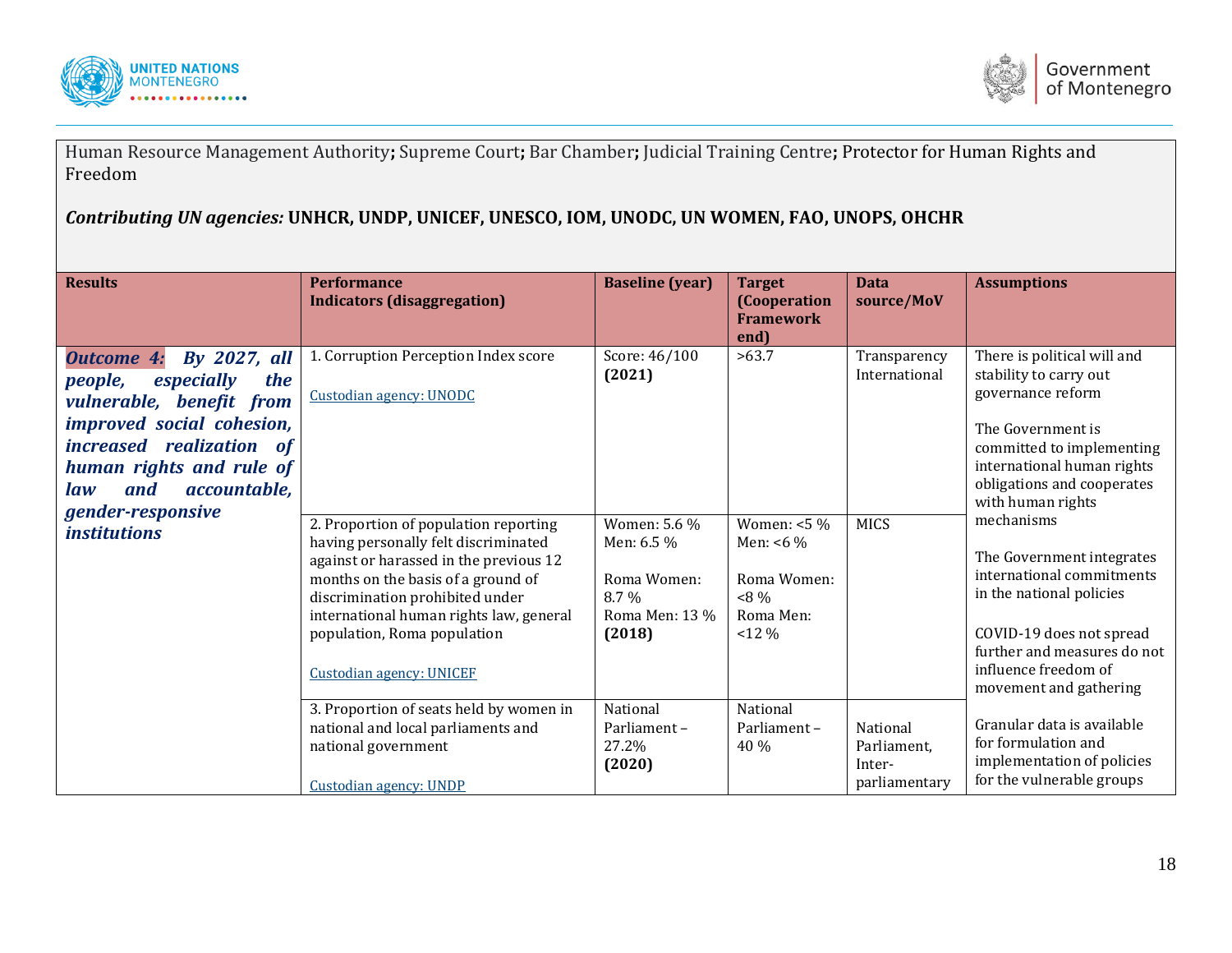



Human Resource Management Authority**;** Supreme Court**;** Bar Chamber**;** Judicial Training Centre**;** Protector for Human Rights and Freedom

*Contributing UN agencies:* **UNHCR, UNDP, UNICEF, UNESCO, IOM, UNODC, UN WOMEN, FAO, UNOPS, OHCHR**

| <b>Results</b>                                                                                                                                                                                                          | <b>Performance</b><br><b>Indicators (disaggregation)</b>                                                                                                                                                                                                                                                      | <b>Baseline</b> (year)                                                           | <b>Target</b><br>(Cooperation<br><b>Framework</b><br>end)                         | <b>Data</b><br>source/MoV                          | <b>Assumptions</b>                                                                                                                                                                                            |
|-------------------------------------------------------------------------------------------------------------------------------------------------------------------------------------------------------------------------|---------------------------------------------------------------------------------------------------------------------------------------------------------------------------------------------------------------------------------------------------------------------------------------------------------------|----------------------------------------------------------------------------------|-----------------------------------------------------------------------------------|----------------------------------------------------|---------------------------------------------------------------------------------------------------------------------------------------------------------------------------------------------------------------|
| By 2027, all<br><b>Outcome 4:</b><br>people,<br>especially<br>the<br>vulnerable, benefit from<br>improved social cohesion,<br>increased realization of<br>human rights and rule of<br>and<br><i>accountable,</i><br>law | 1. Corruption Perception Index score<br><b>Custodian agency: UNODC</b>                                                                                                                                                                                                                                        | Score: 46/100<br>(2021)                                                          | >63.7                                                                             | Transparency<br>International                      | There is political will and<br>stability to carry out<br>governance reform<br>The Government is<br>committed to implementing<br>international human rights<br>obligations and cooperates<br>with human rights |
| gender-responsive<br><i>institutions</i>                                                                                                                                                                                | 2. Proportion of population reporting<br>having personally felt discriminated<br>against or harassed in the previous 12<br>months on the basis of a ground of<br>discrimination prohibited under<br>international human rights law, general<br>population, Roma population<br><b>Custodian agency: UNICEF</b> | Women: 5.6 %<br>Men: 6.5 %<br>Roma Women:<br>$8.7\%$<br>Roma Men: 13 %<br>(2018) | Women: $<$ 5 %<br>Men: $< 6 \%$<br>Roma Women:<br>$~< 8\%$<br>Roma Men:<br>$12\%$ | <b>MICS</b>                                        | mechanisms<br>The Government integrates<br>international commitments<br>in the national policies<br>COVID-19 does not spread<br>further and measures do not<br>influence freedom of<br>movement and gathering |
|                                                                                                                                                                                                                         | 3. Proportion of seats held by women in<br>national and local parliaments and<br>national government<br><b>Custodian agency: UNDP</b>                                                                                                                                                                         | National<br>Parliament-<br>27.2%<br>(2020)                                       | National<br>Parliament-<br>40 %                                                   | National<br>Parliament,<br>Inter-<br>parliamentary | Granular data is available<br>for formulation and<br>implementation of policies<br>for the vulnerable groups                                                                                                  |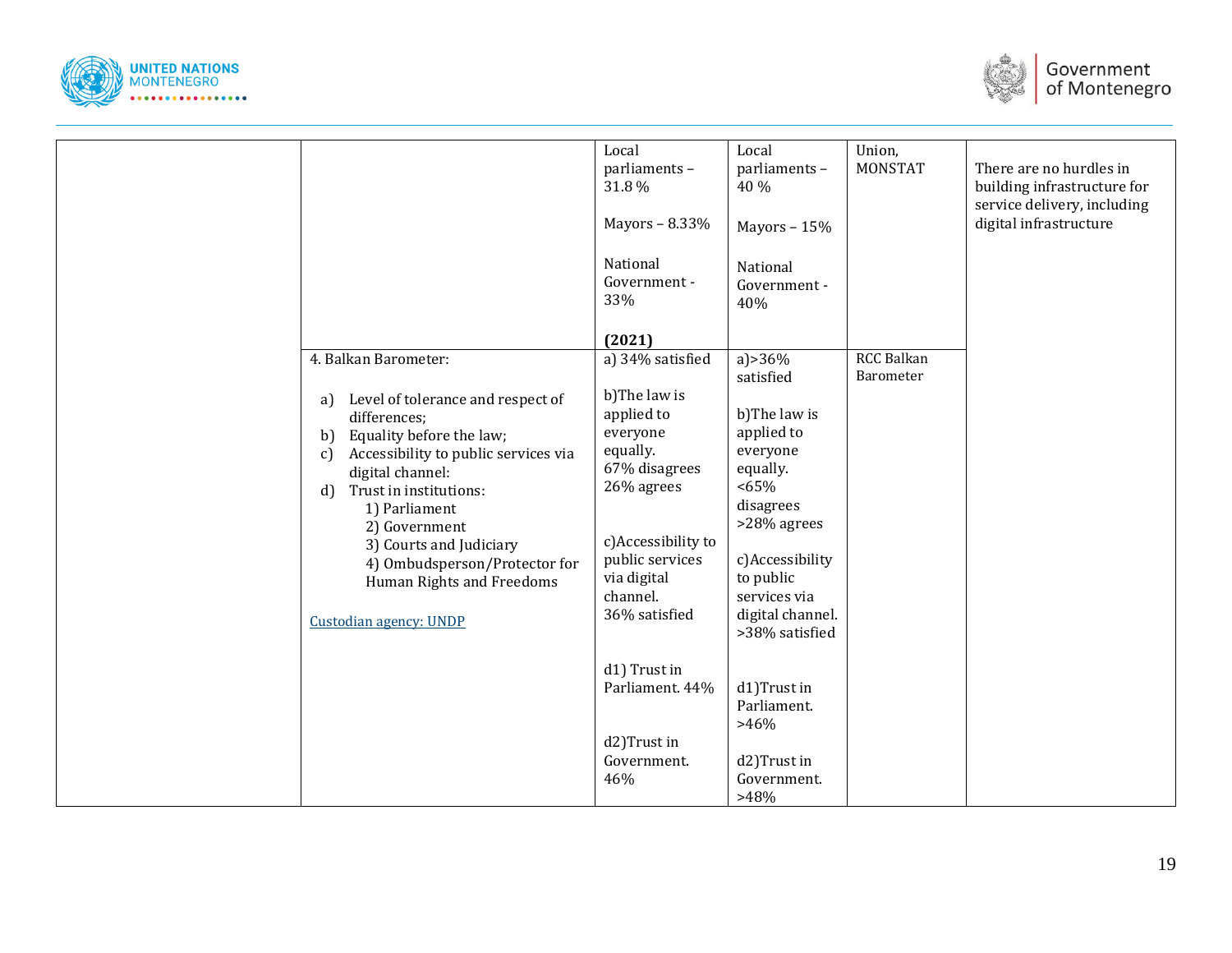



|                                                                                                                                                                                                                                                                                                                                                                                          | Local<br>parliaments-<br>31.8%<br>Mayors - 8.33%<br>National<br>Government -<br>33%                                                                                                                                                                                          | Local<br>parliaments-<br>40 %<br>Mayors - 15%<br>National<br>Government -<br>40%                                                                                                                                                                                                       | Union,<br>MONSTAT              | There are no hurdles in<br>building infrastructure for<br>service delivery, including<br>digital infrastructure |
|------------------------------------------------------------------------------------------------------------------------------------------------------------------------------------------------------------------------------------------------------------------------------------------------------------------------------------------------------------------------------------------|------------------------------------------------------------------------------------------------------------------------------------------------------------------------------------------------------------------------------------------------------------------------------|----------------------------------------------------------------------------------------------------------------------------------------------------------------------------------------------------------------------------------------------------------------------------------------|--------------------------------|-----------------------------------------------------------------------------------------------------------------|
| 4. Balkan Barometer:<br>Level of tolerance and respect of<br>a)<br>differences;<br>Equality before the law;<br>b<br>Accessibility to public services via<br>$\mathcal{C}$<br>digital channel:<br>Trust in institutions:<br>d<br>1) Parliament<br>2) Government<br>3) Courts and Judiciary<br>4) Ombudsperson/Protector for<br>Human Rights and Freedoms<br><b>Custodian agency: UNDP</b> | (2021)<br>a) 34% satisfied<br>b)The law is<br>applied to<br>everyone<br>equally.<br>67% disagrees<br>26% agrees<br>c)Accessibility to<br>public services<br>via digital<br>channel.<br>36% satisfied<br>d1) Trust in<br>Parliament. 44%<br>d2)Trust in<br>Government.<br>46% | a) $>36\%$<br>satisfied<br>b)The law is<br>applied to<br>everyone<br>equally.<br><65%<br>disagrees<br>>28% agrees<br>c)Accessibility<br>to public<br>services via<br>digital channel.<br>>38% satisfied<br>d1)Trust in<br>Parliament.<br>$>46\%$<br>d2)Trust in<br>Government.<br>>48% | <b>RCC Balkan</b><br>Barometer |                                                                                                                 |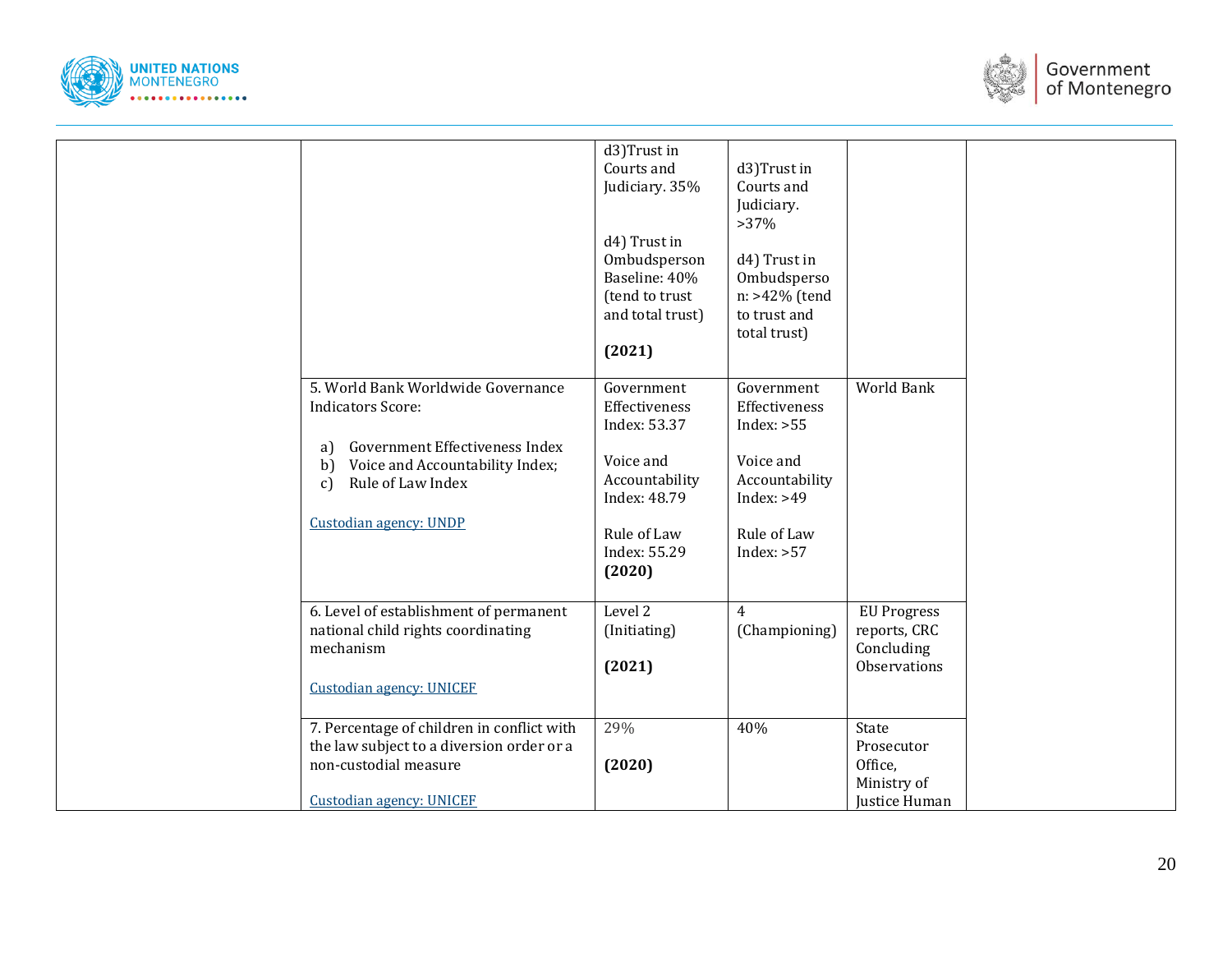



|                                                                                                                                                                                                      | d3)Trust in<br>Courts and<br>Judiciary. 35%<br>d4) Trust in<br>Ombudsperson<br>Baseline: 40%<br>(tend to trust<br>and total trust)<br>(2021) | d3)Trust in<br>Courts and<br>Judiciary.<br>$>37\%$<br>d4) Trust in<br>Ombudsperso<br>n: >42% (tend<br>to trust and<br>total trust) |                                                                  |  |
|------------------------------------------------------------------------------------------------------------------------------------------------------------------------------------------------------|----------------------------------------------------------------------------------------------------------------------------------------------|------------------------------------------------------------------------------------------------------------------------------------|------------------------------------------------------------------|--|
| 5. World Bank Worldwide Governance<br><b>Indicators Score:</b><br>Government Effectiveness Index<br>a)<br>Voice and Accountability Index;<br>b)<br>Rule of Law Index<br>c)<br>Custodian agency: UNDP | Government<br>Effectiveness<br>Index: 53.37<br>Voice and<br>Accountability<br>Index: 48.79<br>Rule of Law<br>Index: 55.29<br>(2020)          | Government<br>Effectiveness<br>Index: $>55$<br>Voice and<br>Accountability<br>Index: $>49$<br>Rule of Law<br>Index: $>57$          | <b>World Bank</b>                                                |  |
| 6. Level of establishment of permanent<br>national child rights coordinating<br>mechanism<br><b>Custodian agency: UNICEF</b>                                                                         | Level 2<br>(Initiating)<br>(2021)                                                                                                            | $\overline{4}$<br>(Championing)                                                                                                    | <b>EU Progress</b><br>reports, CRC<br>Concluding<br>Observations |  |
| 7. Percentage of children in conflict with<br>the law subject to a diversion order or a<br>non-custodial measure<br><b>Custodian agency: UNICEF</b>                                                  | 29%<br>(2020)                                                                                                                                | 40%                                                                                                                                | State<br>Prosecutor<br>Office,<br>Ministry of<br>Justice Human   |  |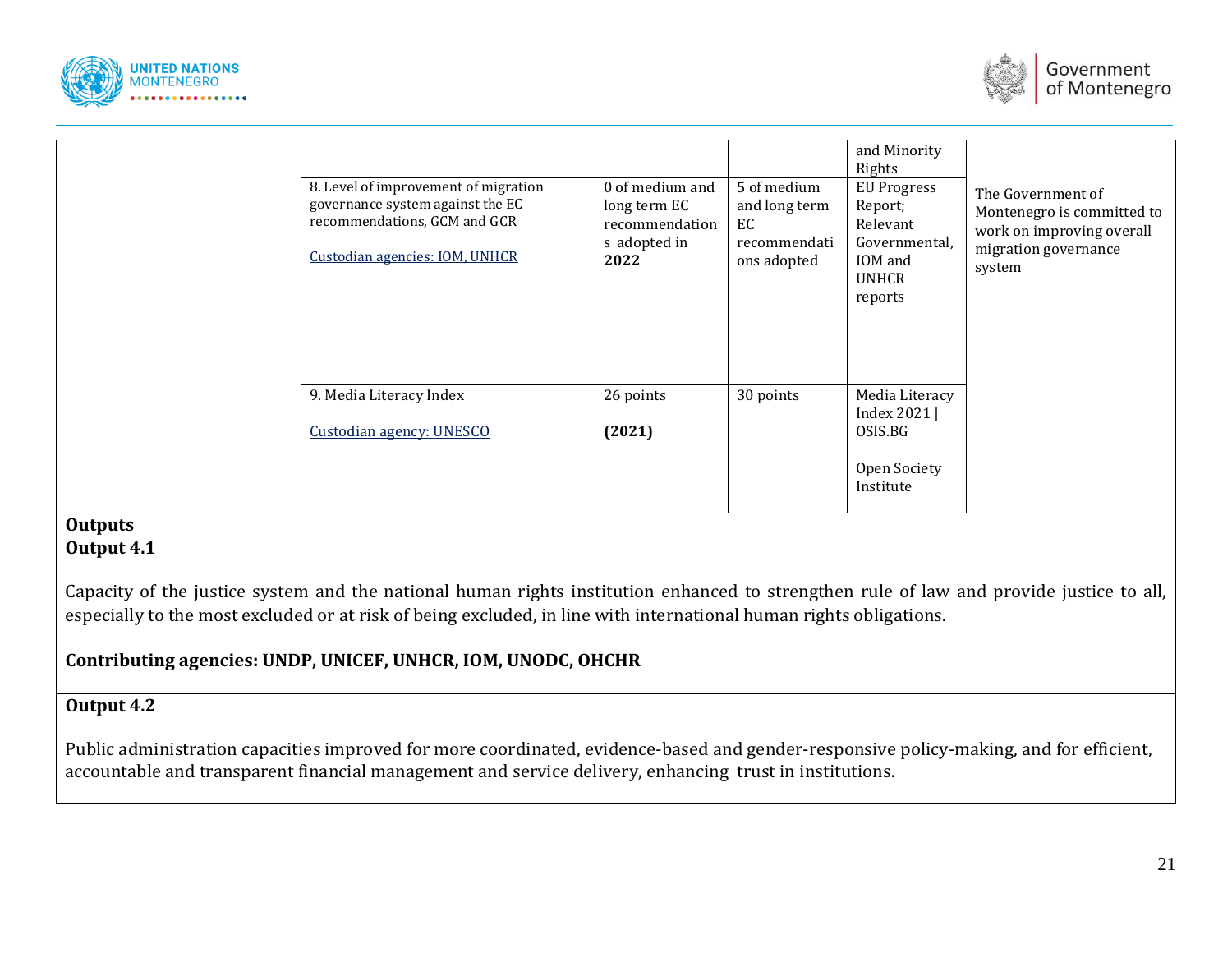



|                | 8. Level of improvement of migration<br>governance system against the EC<br>recommendations, GCM and GCR<br>Custodian agencies: IOM, UNHCR | 0 of medium and<br>long term EC<br>recommendation<br>s adopted in<br>2022 | 5 of medium<br>and long term<br>EC<br>recommendati<br>ons adopted | and Minority<br>Rights<br><b>EU Progress</b><br>Report;<br>Relevant<br>Governmental,<br>IOM and<br><b>UNHCR</b><br>reports | The Government of<br>Montenegro is committed to<br>work on improving overall<br>migration governance<br>system |
|----------------|--------------------------------------------------------------------------------------------------------------------------------------------|---------------------------------------------------------------------------|-------------------------------------------------------------------|----------------------------------------------------------------------------------------------------------------------------|----------------------------------------------------------------------------------------------------------------|
|                | 9. Media Literacy Index<br>Custodian agency: UNESCO                                                                                        | 26 points<br>(2021)                                                       | 30 points                                                         | Media Literacy<br>Index 2021  <br>OSIS.BG<br>Open Society<br>Institute                                                     |                                                                                                                |
| <b>Outputs</b> |                                                                                                                                            |                                                                           |                                                                   |                                                                                                                            |                                                                                                                |

## **Output 4.1**

Capacity of the justice system and the national human rights institution enhanced to strengthen rule of law and provide justice to all, especially to the most excluded or at risk of being excluded, in line with international human rights obligations.

## **Contributing agencies: UNDP, UNICEF, UNHCR, IOM, UNODC, OHCHR**

## **Output 4.2**

Public administration capacities improved for more coordinated, evidence-based and gender-responsive policy-making, and for efficient, accountable and transparent financial management and service delivery, enhancing trust in institutions.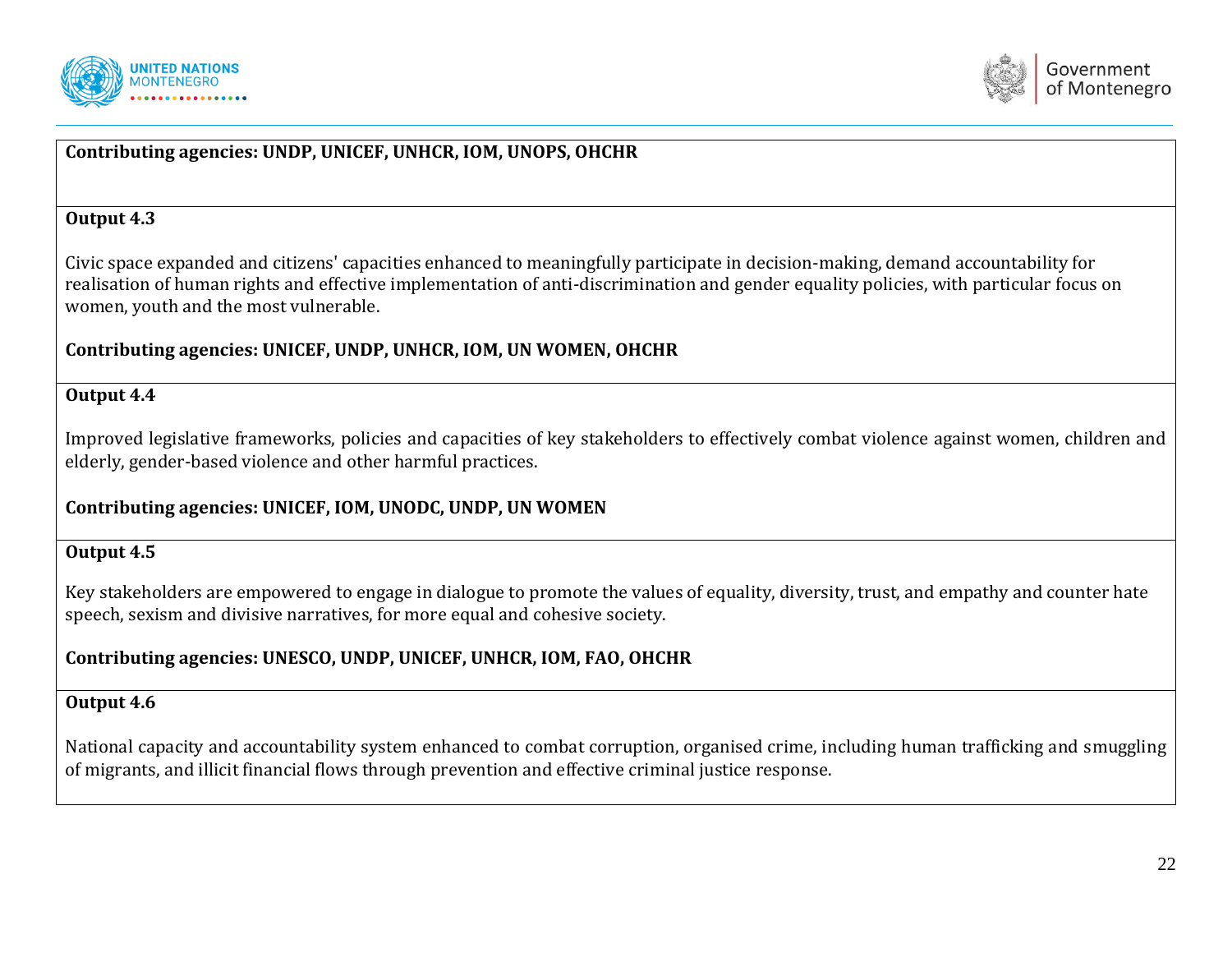



## **Contributing agencies: UNDP, UNICEF, UNHCR, IOM, UNOPS, OHCHR**

#### **Output 4.3**

Civic space expanded and citizens' capacities enhanced to meaningfully participate in decision-making, demand accountability for realisation of human rights and effective implementation of anti-discrimination and gender equality policies, with particular focus on women, youth and the most vulnerable.

#### **Contributing agencies: UNICEF, UNDP, UNHCR, IOM, UN WOMEN, OHCHR**

#### **Output 4.4**

Improved legislative frameworks, policies and capacities of key stakeholders to effectively combat violence against women, children and elderly, gender-based violence and other harmful practices.

#### **Contributing agencies: UNICEF, IOM, UNODC, UNDP, UN WOMEN**

#### **Output 4.5**

Key stakeholders are empowered to engage in dialogue to promote the values of equality, diversity, trust, and empathy and counter hate speech, sexism and divisive narratives, for more equal and cohesive society.

## **Contributing agencies: UNESCO, UNDP, UNICEF, UNHCR, IOM, FAO, OHCHR**

#### **Output 4.6**

National capacity and accountability system enhanced to combat corruption, organised crime, including human trafficking and smuggling of migrants, and illicit financial flows through prevention and effective criminal justice response.